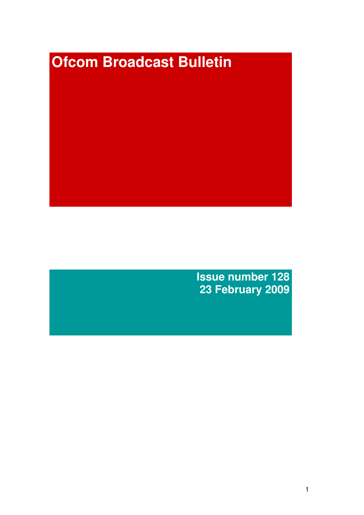# **Ofcom Broadcast Bulletin**

**Issue number 128 23 February 2009**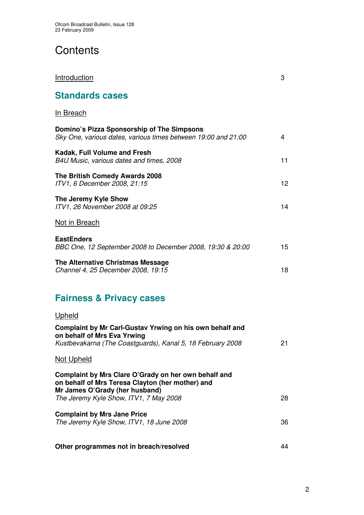# **Contents**

| <u>Introduction</u>                                                                                         | 3  |
|-------------------------------------------------------------------------------------------------------------|----|
| <b>Standards cases</b>                                                                                      |    |
| <b>In Breach</b>                                                                                            |    |
| Domino's Pizza Sponsorship of The Simpsons<br>Sky One, various dates, various times between 19:00 and 21:00 | 4  |
| Kadak, Full Volume and Fresh<br>B4U Music, various dates and times, 2008                                    | 11 |
| The British Comedy Awards 2008<br>ITV1, 6 December 2008, 21:15                                              | 12 |
| The Jeremy Kyle Show<br>ITV1, 26 November 2008 at 09:25                                                     | 14 |
| Not in Breach                                                                                               |    |
| <b>EastEnders</b><br>BBC One, 12 September 2008 to December 2008, 19:30 & 20:00                             | 15 |
| The Alternative Christmas Message<br>Channel 4, 25 December 2008, 19:15                                     | 18 |
|                                                                                                             |    |

# **Fairness & Privacy cases**

## Upheld

| Complaint by Mr Carl-Gustav Yrwing on his own behalf and<br>on behalf of Mrs Eva Yrwing<br>Kustbevakarna (The Coastguards), Kanal 5, 18 February 2008                                | 21 |
|--------------------------------------------------------------------------------------------------------------------------------------------------------------------------------------|----|
| <b>Not Upheld</b>                                                                                                                                                                    |    |
| Complaint by Mrs Clare O'Grady on her own behalf and<br>on behalf of Mrs Teresa Clayton (her mother) and<br>Mr James O'Grady (her husband)<br>The Jeremy Kyle Show, ITV1, 7 May 2008 | 28 |
| <b>Complaint by Mrs Jane Price</b><br>The Jeremy Kyle Show, ITV1, 18 June 2008                                                                                                       | 36 |
| Other programmes not in breach/resolved                                                                                                                                              | 44 |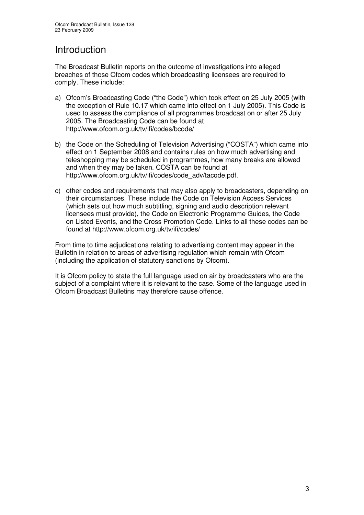# Introduction

The Broadcast Bulletin reports on the outcome of investigations into alleged breaches of those Ofcom codes which broadcasting licensees are required to comply. These include:

- a) Ofcom's Broadcasting Code ("the Code") which took effect on 25 July 2005 (with the exception of Rule 10.17 which came into effect on 1 July 2005). This Code is used to assess the compliance of all programmes broadcast on or after 25 July 2005. The Broadcasting Code can be found at http://www.ofcom.org.uk/tv/ifi/codes/bcode/
- b) the Code on the Scheduling of Television Advertising ("COSTA") which came into effect on 1 September 2008 and contains rules on how much advertising and teleshopping may be scheduled in programmes, how many breaks are allowed and when they may be taken. COSTA can be found at http://www.ofcom.org.uk/tv/ifi/codes/code\_adv/tacode.pdf.
- c) other codes and requirements that may also apply to broadcasters, depending on their circumstances. These include the Code on Television Access Services (which sets out how much subtitling, signing and audio description relevant licensees must provide), the Code on Electronic Programme Guides, the Code on Listed Events, and the Cross Promotion Code. Links to all these codes can be found at http://www.ofcom.org.uk/tv/ifi/codes/

From time to time adjudications relating to advertising content may appear in the Bulletin in relation to areas of advertising regulation which remain with Ofcom (including the application of statutory sanctions by Ofcom).

It is Ofcom policy to state the full language used on air by broadcasters who are the subject of a complaint where it is relevant to the case. Some of the language used in Ofcom Broadcast Bulletins may therefore cause offence.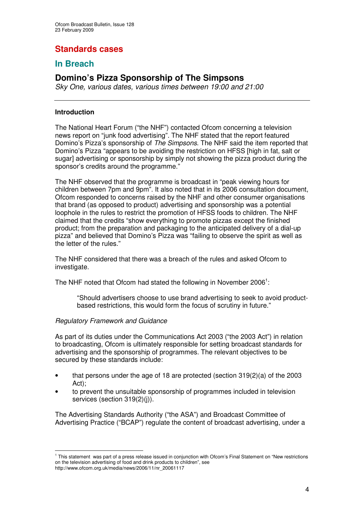## **Standards cases**

## **In Breach**

## **Domino's Pizza Sponsorship of The Simpsons**

*Sky One, various dates, various times between 19:00 and 21:00*

#### **Introduction**

The National Heart Forum ("the NHF") contacted Ofcom concerning a television news report on "junk food advertising". The NHF stated that the report featured Domino's Pizza's sponsorship of *The Simpsons*. The NHF said the item reported that Domino's Pizza "appears to be avoiding the restriction on HFSS [high in fat, salt or sugar] advertising or sponsorship by simply not showing the pizza product during the sponsor's credits around the programme."

The NHF observed that the programme is broadcast in "peak viewing hours for children between 7pm and 9pm". It also noted that in its 2006 consultation document, Ofcom responded to concerns raised by the NHF and other consumer organisations that brand (as opposed to product) advertising and sponsorship was a potential loophole in the rules to restrict the promotion of HFSS foods to children. The NHF claimed that the credits "show everything to promote pizzas except the finished product; from the preparation and packaging to the anticipated delivery of a dial-up pizza" and believed that Domino's Pizza was "failing to observe the spirit as well as the letter of the rules."

The NHF considered that there was a breach of the rules and asked Ofcom to investigate.

The NHF noted that Ofcom had stated the following in November 2006<sup>1</sup>:

"Should advertisers choose to use brand advertising to seek to avoid productbased restrictions, this would form the focus of scrutiny in future."

#### *Regulatory Framework and Guidance*

As part of its duties under the Communications Act 2003 ("the 2003 Act") in relation to broadcasting, Ofcom is ultimately responsible for setting broadcast standards for advertising and the sponsorship of programmes. The relevant objectives to be secured by these standards include:

- that persons under the age of 18 are protected (section 319(2)(a) of the 2003 Act);
- to prevent the unsuitable sponsorship of programmes included in television services (section 319(2)(i)).

The Advertising Standards Authority ("the ASA") and Broadcast Committee of Advertising Practice ("BCAP") regulate the content of broadcast advertising, under a

<sup>&</sup>lt;sup>1</sup> This statement was part of a press release issued in conjunction with Ofcom's Final Statement on "New restrictions on the television advertising of food and drink products to children", see http://www.ofcom.org.uk/media/news/2006/11/nr\_20061117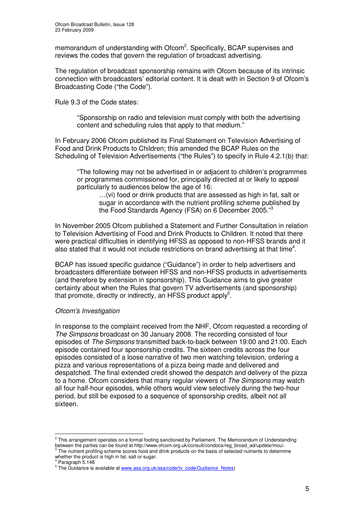memorandum of understanding with Ofcom<sup>2</sup>. Specifically, BCAP supervises and reviews the codes that govern the regulation of broadcast advertising.

The regulation of broadcast sponsorship remains with Ofcom because of its intrinsic connection with broadcasters' editorial content. It is dealt with in Section 9 of Ofcom's Broadcasting Code ("the Code").

Rule 9.3 of the Code states:

"Sponsorship on radio and television must comply with both the advertising content and scheduling rules that apply to that medium."

In February 2006 Ofcom published its Final Statement on Television Advertising of Food and Drink Products to Children; this amended the BCAP Rules on the Scheduling of Television Advertisements ("the Rules") to specify in Rule 4.2.1(b) that:

"The following may not be advertised in or adjacent to children's programmes or programmes commissioned for, principally directed at or likely to appeal particularly to audiences below the age of 16:

…(vi) food or drink products that are assessed as high in fat, salt or sugar in accordance with the nutrient profiling scheme published by the Food Standards Agency (FSA) on 6 December 2005."<sup>3</sup>

In November 2005 Ofcom published a Statement and Further Consultation in relation to Television Advertising of Food and Drink Products to Children. It noted that there were practical difficulties in identifying HFSS as opposed to non-HFSS brands and it also stated that it would not include restrictions on brand advertising at that time<sup>4</sup>.

BCAP has issued specific guidance ("Guidance") in order to help advertisers and broadcasters differentiate between HFSS and non-HFSS products in advertisements (and therefore by extension in sponsorship). This Guidance aims to give greater certainty about when the Rules that govern TV advertisements (and sponsorship) that promote, directly or indirectly, an HFSS product apply<sup>5</sup>.

#### *Ofcom's Investigation*

In response to the complaint received from the NHF, Ofcom requested a recording of *The Simpsons* broadcast on 30 January 2008. The recording consisted of four episodes of *The Simpsons* transmitted back-to-back between 19:00 and 21:00. Each episode contained four sponsorship credits. The sixteen credits across the four episodes consisted of a loose narrative of two men watching television, ordering a pizza and various representations of a pizza being made and delivered and despatched. The final extended credit showed the despatch and delivery of the pizza to a home. Ofcom considers that many regular viewers of *The Simpsons* may watch all four half-hour episodes, while others would view selectively during the two-hour period, but still be exposed to a sequence of sponsorship credits, albeit not all sixteen.

 $^2$  This arrangement operates on a formal footing sanctioned by Parliament. The Memorandum of Understanding between the parties can be found at http://www.ofcom.org.uk/consult/condocs/reg\_broad\_ad/update/mou/.<br><sup>3</sup> The nutrient profiling scheme scores food and drink products on the basis of selected nutrients to determine

whether the product is high in fat, salt or sugar. <sup>4</sup> Paragraph 5.148

<sup>&</sup>lt;sup>5</sup> The Guidance is available at www.asa.org.uk/asa/code/tv\_code/Gudiance\_Notes)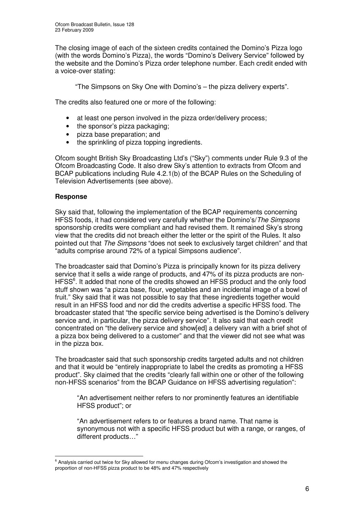The closing image of each of the sixteen credits contained the Domino's Pizza logo (with the words Domino's Pizza), the words "Domino's Delivery Service" followed by the website and the Domino's Pizza order telephone number. Each credit ended with a voice-over stating:

"The Simpsons on Sky One with Domino's – the pizza delivery experts".

The credits also featured one or more of the following:

- at least one person involved in the pizza order/delivery process;
- the sponsor's pizza packaging;
- pizza base preparation; and
- the sprinkling of pizza topping ingredients.

Ofcom sought British Sky Broadcasting Ltd's ("Sky") comments under Rule 9.3 of the Ofcom Broadcasting Code. It also drew Sky's attention to extracts from Ofcom and BCAP publications including Rule 4.2.1(b) of the BCAP Rules on the Scheduling of Television Advertisements (see above).

#### **Response**

Sky said that, following the implementation of the BCAP requirements concerning HFSS foods, it had considered very carefully whether the Domino's/*The Simpsons* sponsorship credits were compliant and had revised them. It remained Sky's strong view that the credits did not breach either the letter or the spirit of the Rules. It also pointed out that *The Simpsons* "does not seek to exclusively target children" and that "adults comprise around 72% of a typical Simpsons audience".

The broadcaster said that Domino's Pizza is principally known for its pizza delivery service that it sells a wide range of products, and 47% of its pizza products are non-HFSS<sup>6</sup>. It added that none of the credits showed an HFSS product and the only food stuff shown was "a pizza base, flour, vegetables and an incidental image of a bowl of fruit." Sky said that it was not possible to say that these ingredients together would result in an HFSS food and nor did the credits advertise a specific HFSS food. The broadcaster stated that "the specific service being advertised is the Domino's delivery service and, in particular, the pizza delivery service". It also said that each credit concentrated on "the delivery service and show[ed] a delivery van with a brief shot of a pizza box being delivered to a customer" and that the viewer did not see what was in the pizza box.

The broadcaster said that such sponsorship credits targeted adults and not children and that it would be "entirely inappropriate to label the credits as promoting a HFSS product". Sky claimed that the credits "clearly fall within one or other of the following non-HFSS scenarios" from the BCAP Guidance on HFSS advertising regulation":

"An advertisement neither refers to nor prominently features an identifiable HFSS product"; or

"An advertisement refers to or features a brand name. That name is synonymous not with a specific HFSS product but with a range, or ranges, of different products…"

<sup>&</sup>lt;sup>6</sup> Analysis carried out twice for Sky allowed for menu changes during Ofcom's investigation and showed the proportion of non-HFSS pizza product to be 48% and 47% respectively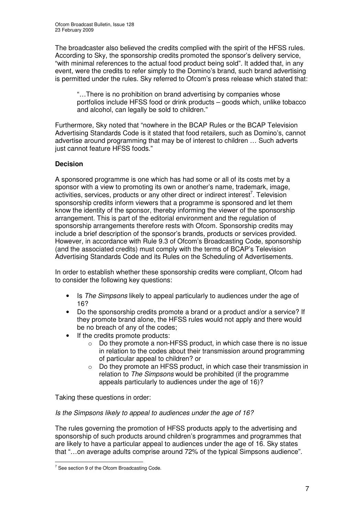The broadcaster also believed the credits complied with the spirit of the HFSS rules. According to Sky, the sponsorship credits promoted the sponsor's delivery service, "with minimal references to the actual food product being sold". It added that, in any event, were the credits to refer simply to the Domino's brand, such brand advertising is permitted under the rules. Sky referred to Ofcom's press release which stated that:

"…There is no prohibition on brand advertising by companies whose portfolios include HFSS food or drink products – goods which, unlike tobacco and alcohol, can legally be sold to children."

Furthermore, Sky noted that "nowhere in the BCAP Rules or the BCAP Television Advertising Standards Code is it stated that food retailers, such as Domino's, cannot advertise around programming that may be of interest to children … Such adverts just cannot feature HFSS foods."

#### **Decision**

A sponsored programme is one which has had some or all of its costs met by a sponsor with a view to promoting its own or another's name, trademark, image, activities, services, products or any other direct or indirect interest<sup>7</sup>. Television sponsorship credits inform viewers that a programme is sponsored and let them know the identity of the sponsor, thereby informing the viewer of the sponsorship arrangement. This is part of the editorial environment and the regulation of sponsorship arrangements therefore rests with Ofcom. Sponsorship credits may include a brief description of the sponsor's brands, products or services provided. However, in accordance with Rule 9.3 of Ofcom's Broadcasting Code, sponsorship (and the associated credits) must comply with the terms of BCAP's Television Advertising Standards Code and its Rules on the Scheduling of Advertisements.

In order to establish whether these sponsorship credits were compliant, Ofcom had to consider the following key questions:

- Is *The Simpsons* likely to appeal particularly to audiences under the age of 16?
- Do the sponsorship credits promote a brand or a product and/or a service? If they promote brand alone, the HFSS rules would not apply and there would be no breach of any of the codes;
- If the credits promote products:
	- o Do they promote a non-HFSS product, in which case there is no issue in relation to the codes about their transmission around programming of particular appeal to children? or
	- o Do they promote an HFSS product, in which case their transmission in relation to *The Simpsons* would be prohibited (if the programme appeals particularly to audiences under the age of 16)?

Taking these questions in order:

#### *Is the Simpsons likely to appeal to audiences under the age of 16?*

The rules governing the promotion of HFSS products apply to the advertising and sponsorship of such products around children's programmes and programmes that are likely to have a particular appeal to audiences under the age of 16. Sky states that "…on average adults comprise around 72% of the typical Simpsons audience".

 $7$  See section 9 of the Ofcom Broadcasting Code.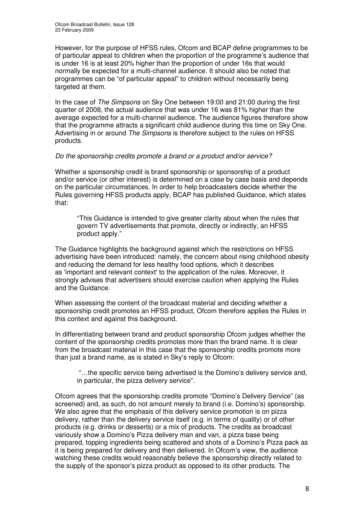However, for the purpose of HFSS rules, Ofcom and BCAP define programmes to be of particular appeal to children when the proportion of the programme's audience that is under 16 is at least 20% higher than the proportion of under 16s that would normally be expected for a multi-channel audience. It should also be noted that programmes can be "of particular appeal" to children without necessarily being targeted at them.

In the case of *The Simpsons* on Sky One between 19:00 and 21:00 during the first quarter of 2008, the actual audience that was under 16 was 81% higher than the average expected for a multi-channel audience. The audience figures therefore show that the programme attracts a significant child audience during this time on Sky One. Advertising in or around *The Simpsons* is therefore subject to the rules on HFSS products.

#### *Do the sponsorship credits promote a brand or a product and/or service?*

Whether a sponsorship credit is brand sponsorship or sponsorship of a product and/or service (or other interest) is determined on a case by case basis and depends on the particular circumstances. In order to help broadcasters decide whether the Rules governing HFSS products apply, BCAP has published Guidance, which states that:

"This Guidance is intended to give greater clarity about when the rules that govern TV advertisements that promote, directly or indirectly, an HFSS product apply."

The Guidance highlights the background against which the restrictions on HFSS advertising have been introduced: namely, the concern about rising childhood obesity and reducing the demand for less healthy food options, which it describes as 'important and relevant context'to the application of the rules. Moreover, it strongly advises that advertisers should exercise caution when applying the Rules and the Guidance.

When assessing the content of the broadcast material and deciding whether a sponsorship credit promotes an HFSS product, Ofcom therefore applies the Rules in this context and against this background.

In differentiating between brand and product sponsorship Ofcom judges whether the content of the sponsorship credits promotes more than the brand name. It is clear from the broadcast material in this case that the sponsorship credits promote more than just a brand name, as is stated in Sky's reply to Ofcom:

"…the specific service being advertised is the Domino's delivery service and, in particular, the pizza delivery service".

Ofcom agrees that the sponsorship credits promote "Domino's Delivery Service" (as screened) and, as such, do not amount merely to brand (i.e. Domino's) sponsorship. We also agree that the emphasis of this delivery service promotion is on pizza delivery, rather than the delivery service itself (e.g. in terms of quality) or of other products (e.g. drinks or desserts) or a mix of products. The credits as broadcast variously show a Domino's Pizza delivery man and van, a pizza base being prepared, topping ingredients being scattered and shots of a Domino's Pizza pack as it is being prepared for delivery and then delivered. In Ofcom's view, the audience watching these credits would reasonably believe the sponsorship directly related to the supply of the sponsor's pizza product as opposed to its other products. The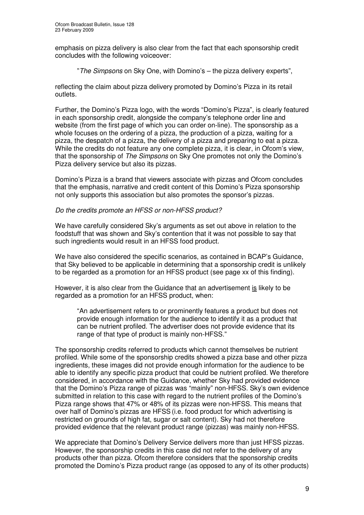emphasis on pizza delivery is also clear from the fact that each sponsorship credit concludes with the following voiceover:

"*The Simpsons* on Sky One, with Domino's – the pizza delivery experts",

reflecting the claim about pizza delivery promoted by Domino's Pizza in its retail outlets.

Further, the Domino's Pizza logo, with the words "Domino's Pizza", is clearly featured in each sponsorship credit, alongside the company's telephone order line and website (from the first page of which you can order on-line). The sponsorship as a whole focuses on the ordering of a pizza, the production of a pizza, waiting for a pizza, the despatch of a pizza, the delivery of a pizza and preparing to eat a pizza. While the credits do not feature any one complete pizza, it is clear, in Ofcom's view, that the sponsorship of *The Simpsons* on Sky One promotes not only the Domino's Pizza delivery service but also its pizzas.

Domino's Pizza is a brand that viewers associate with pizzas and Ofcom concludes that the emphasis, narrative and credit content of this Domino's Pizza sponsorship not only supports this association but also promotes the sponsor's pizzas.

#### *Do the credits promote an HFSS or non-HFSS product?*

We have carefully considered Sky's arguments as set out above in relation to the foodstuff that was shown and Sky's contention that it was not possible to say that such ingredients would result in an HFSS food product.

We have also considered the specific scenarios, as contained in BCAP's Guidance, that Sky believed to be applicable in determining that a sponsorship credit is unlikely to be regarded as a promotion for an HFSS product (see page xx of this finding).

However, it is also clear from the Guidance that an advertisement is likely to be regarded as a promotion for an HFSS product, when:

"An advertisement refers to or prominently features a product but does not provide enough information for the audience to identify it as a product that can be nutrient profiled. The advertiser does not provide evidence that its range of that type of product is mainly non-HFSS."

The sponsorship credits referred to products which cannot themselves be nutrient profiled. While some of the sponsorship credits showed a pizza base and other pizza ingredients, these images did not provide enough information for the audience to be able to identify any specific pizza product that could be nutrient profiled. We therefore considered, in accordance with the Guidance, whether Sky had provided evidence that the Domino's Pizza range of pizzas was "mainly" non-HFSS. Sky's own evidence submitted in relation to this case with regard to the nutrient profiles of the Domino's Pizza range shows that 47% or 48% of its pizzas were non-HFSS. This means that over half of Domino's pizzas are HFSS (i.e. food product for which advertising is restricted on grounds of high fat, sugar or salt content). Sky had not therefore provided evidence that the relevant product range (pizzas) was mainly non-HFSS.

We appreciate that Domino's Delivery Service delivers more than just HFSS pizzas. However, the sponsorship credits in this case did not refer to the delivery of any products other than pizza. Ofcom therefore considers that the sponsorship credits promoted the Domino's Pizza product range (as opposed to any of its other products)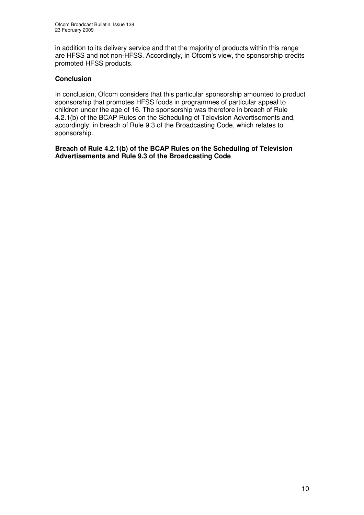in addition to its delivery service and that the majority of products within this range are HFSS and not non-HFSS. Accordingly, in Ofcom's view, the sponsorship credits promoted HFSS products.

#### **Conclusion**

In conclusion, Ofcom considers that this particular sponsorship amounted to product sponsorship that promotes HFSS foods in programmes of particular appeal to children under the age of 16. The sponsorship was therefore in breach of Rule 4.2.1(b) of the BCAP Rules on the Scheduling of Television Advertisements and, accordingly, in breach of Rule 9.3 of the Broadcasting Code, which relates to sponsorship.

**Breach of Rule 4.2.1(b) of the BCAP Rules on the Scheduling of Television Advertisements and Rule 9.3 of the Broadcasting Code**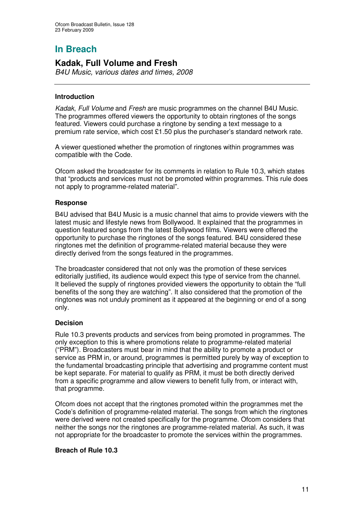# **In Breach**

## **Kadak, Full Volume and Fresh**

*B4U Music, various dates and times, 2008*

#### **Introduction**

*Kadak*, *Full Volume* and *Fresh* are music programmes on the channel B4U Music. The programmes offered viewers the opportunity to obtain ringtones of the songs featured. Viewers could purchase a ringtone by sending a text message to a premium rate service, which cost £1.50 plus the purchaser's standard network rate.

A viewer questioned whether the promotion of ringtones within programmes was compatible with the Code.

Ofcom asked the broadcaster for its comments in relation to Rule 10.3, which states that "products and services must not be promoted within programmes. This rule does not apply to programme-related material".

#### **Response**

B4U advised that B4U Music is a music channel that aims to provide viewers with the latest music and lifestyle news from Bollywood. It explained that the programmes in question featured songs from the latest Bollywood films. Viewers were offered the opportunity to purchase the ringtones of the songs featured. B4U considered these ringtones met the definition of programme-related material because they were directly derived from the songs featured in the programmes.

The broadcaster considered that not only was the promotion of these services editorially justified, its audience would expect this type of service from the channel. It believed the supply of ringtones provided viewers the opportunity to obtain the "full benefits of the song they are watching". It also considered that the promotion of the ringtones was not unduly prominent as it appeared at the beginning or end of a song only.

#### **Decision**

Rule 10.3 prevents products and services from being promoted in programmes. The only exception to this is where promotions relate to programme-related material ("PRM"). Broadcasters must bear in mind that the ability to promote a product or service as PRM in, or around, programmes is permitted purely by way of exception to the fundamental broadcasting principle that advertising and programme content must be kept separate. For material to qualify as PRM, it must be both directly derived from a specific programme and allow viewers to benefit fully from, or interact with, that programme.

Ofcom does not accept that the ringtones promoted within the programmes met the Code's definition of programme-related material. The songs from which the ringtones were derived were not created specifically for the programme. Ofcom considers that neither the songs nor the ringtones are programme-related material. As such, it was not appropriate for the broadcaster to promote the services within the programmes.

#### **Breach of Rule 10.3**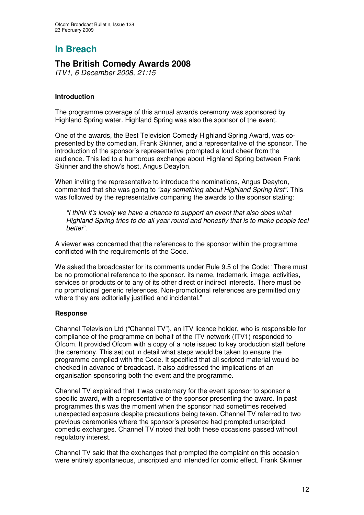# **In Breach**

## **The British Comedy Awards 2008**

*ITV1, 6 December 2008, 21:15*

#### **Introduction**

The programme coverage of this annual awards ceremony was sponsored by Highland Spring water. Highland Spring was also the sponsor of the event.

One of the awards, the Best Television Comedy Highland Spring Award, was copresented by the comedian, Frank Skinner, and a representative of the sponsor. The introduction of the sponsor's representative prompted a loud cheer from the audience. This led to a humorous exchange about Highland Spring between Frank Skinner and the show's host, Angus Deayton.

When inviting the representative to introduce the nominations, Angus Deayton, commented that she was going to *"say something about Highland Spring first"*. This was followed by the representative comparing the awards to the sponsor stating:

*"I think it's lovely we have a chance to support an event that also does what Highland Spring tries to do all year round and honestly that is to make people feel better*".

A viewer was concerned that the references to the sponsor within the programme conflicted with the requirements of the Code.

We asked the broadcaster for its comments under Rule 9.5 of the Code: "There must be no promotional reference to the sponsor, its name, trademark, image, activities, services or products or to any of its other direct or indirect interests. There must be no promotional generic references. Non-promotional references are permitted only where they are editorially justified and incidental."

#### **Response**

Channel Television Ltd ("Channel TV"), an ITV licence holder, who is responsible for compliance of the programme on behalf of the ITV network (ITV1) responded to Ofcom. It provided Ofcom with a copy of a note issued to key production staff before the ceremony. This set out in detail what steps would be taken to ensure the programme complied with the Code. It specified that all scripted material would be checked in advance of broadcast. It also addressed the implications of an organisation sponsoring both the event and the programme.

Channel TV explained that it was customary for the event sponsor to sponsor a specific award, with a representative of the sponsor presenting the award. In past programmes this was the moment when the sponsor had sometimes received unexpected exposure despite precautions being taken. Channel TV referred to two previous ceremonies where the sponsor's presence had prompted unscripted comedic exchanges. Channel TV noted that both these occasions passed without regulatory interest.

Channel TV said that the exchanges that prompted the complaint on this occasion were entirely spontaneous, unscripted and intended for comic effect. Frank Skinner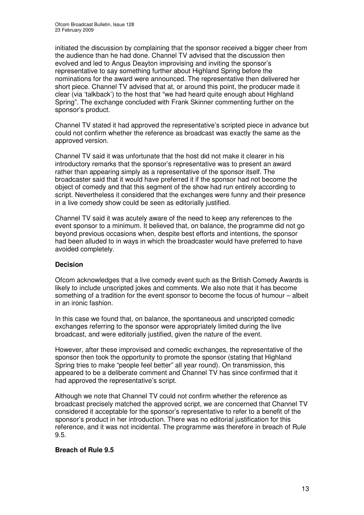initiated the discussion by complaining that the sponsor received a bigger cheer from the audience than he had done. Channel TV advised that the discussion then evolved and led to Angus Deayton improvising and inviting the sponsor's representative to say something further about Highland Spring before the nominations for the award were announced. The representative then delivered her short piece. Channel TV advised that at, or around this point, the producer made it clear (via 'talkback') to the host that "we had heard quite enough about Highland Spring". The exchange concluded with Frank Skinner commenting further on the sponsor's product.

Channel TV stated it had approved the representative's scripted piece in advance but could not confirm whether the reference as broadcast was exactly the same as the approved version.

Channel TV said it was unfortunate that the host did not make it clearer in his introductory remarks that the sponsor's representative was to present an award rather than appearing simply as a representative of the sponsor itself. The broadcaster said that it would have preferred it if the sponsor had not become the object of comedy and that this segment of the show had run entirely according to script. Nevertheless it considered that the exchanges were funny and their presence in a live comedy show could be seen as editorially justified.

Channel TV said it was acutely aware of the need to keep any references to the event sponsor to a minimum. It believed that, on balance, the programme did not go beyond previous occasions when, despite best efforts and intentions, the sponsor had been alluded to in ways in which the broadcaster would have preferred to have avoided completely.

#### **Decision**

Ofcom acknowledges that a live comedy event such as the British Comedy Awards is likely to include unscripted jokes and comments. We also note that it has become something of a tradition for the event sponsor to become the focus of humour – albeit in an ironic fashion.

In this case we found that, on balance, the spontaneous and unscripted comedic exchanges referring to the sponsor were appropriately limited during the live broadcast, and were editorially justified, given the nature of the event.

However, after these improvised and comedic exchanges, the representative of the sponsor then took the opportunity to promote the sponsor (stating that Highland Spring tries to make "people feel better" all year round). On transmission, this appeared to be a deliberate comment and Channel TV has since confirmed that it had approved the representative's script.

Although we note that Channel TV could not confirm whether the reference as broadcast precisely matched the approved script, we are concerned that Channel TV considered it acceptable for the sponsor's representative to refer to a benefit of the sponsor's product in her introduction. There was no editorial justification for this reference, and it was not incidental. The programme was therefore in breach of Rule 9.5.

#### **Breach of Rule 9.5**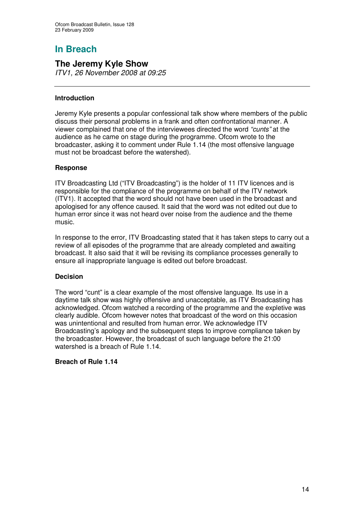# **In Breach**

## **The Jeremy Kyle Show**

*ITV1, 26 November 2008 at 09:25*

#### **Introduction**

Jeremy Kyle presents a popular confessional talk show where members of the public discuss their personal problems in a frank and often confrontational manner. A viewer complained that one of the interviewees directed the word *"cunts"* at the audience as he came on stage during the programme. Ofcom wrote to the broadcaster, asking it to comment under Rule 1.14 (the most offensive language must not be broadcast before the watershed).

#### **Response**

ITV Broadcasting Ltd ("ITV Broadcasting") is the holder of 11 ITV licences and is responsible for the compliance of the programme on behalf of the ITV network (ITV1). It accepted that the word should not have been used in the broadcast and apologised for any offence caused. It said that the word was not edited out due to human error since it was not heard over noise from the audience and the theme music.

In response to the error, ITV Broadcasting stated that it has taken steps to carry out a review of all episodes of the programme that are already completed and awaiting broadcast. It also said that it will be revising its compliance processes generally to ensure all inappropriate language is edited out before broadcast.

#### **Decision**

The word "cunt" is a clear example of the most offensive language. Its use in a daytime talk show was highly offensive and unacceptable, as ITV Broadcasting has acknowledged. Ofcom watched a recording of the programme and the expletive was clearly audible. Ofcom however notes that broadcast of the word on this occasion was unintentional and resulted from human error. We acknowledge ITV Broadcasting's apology and the subsequent steps to improve compliance taken by the broadcaster. However, the broadcast of such language before the 21:00 watershed is a breach of Rule 1.14.

#### **Breach of Rule 1.14**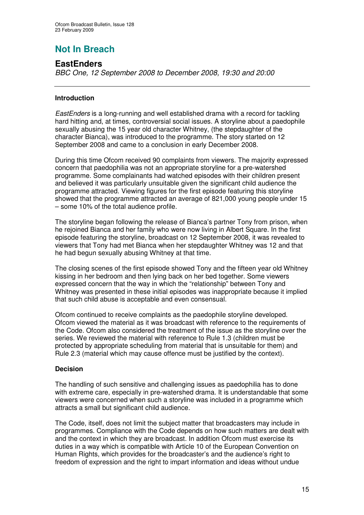# **Not In Breach**

## **EastEnders**

*BBC One, 12 September 2008 to December 2008, 19:30 and 20:00*

#### **Introduction**

*EastEnders* is a long-running and well established drama with a record for tackling hard hitting and, at times, controversial social issues. A storyline about a paedophile sexually abusing the 15 year old character Whitney, (the stepdaughter of the character Bianca), was introduced to the programme. The story started on 12 September 2008 and came to a conclusion in early December 2008.

During this time Ofcom received 90 complaints from viewers. The majority expressed concern that paedophilia was not an appropriate storyline for a pre-watershed programme. Some complainants had watched episodes with their children present and believed it was particularly unsuitable given the significant child audience the programme attracted. Viewing figures for the first episode featuring this storyline showed that the programme attracted an average of 821,000 young people under 15 – some 10% of the total audience profile.

The storyline began following the release of Bianca's partner Tony from prison, when he rejoined Bianca and her family who were now living in Albert Square. In the first episode featuring the storyline, broadcast on 12 September 2008, it was revealed to viewers that Tony had met Bianca when her stepdaughter Whitney was 12 and that he had begun sexually abusing Whitney at that time.

The closing scenes of the first episode showed Tony and the fifteen year old Whitney kissing in her bedroom and then lying back on her bed together. Some viewers expressed concern that the way in which the "relationship" between Tony and Whitney was presented in these initial episodes was inappropriate because it implied that such child abuse is acceptable and even consensual.

Ofcom continued to receive complaints as the paedophile storyline developed. Ofcom viewed the material as it was broadcast with reference to the requirements of the Code. Ofcom also considered the treatment of the issue as the storyline over the series. We reviewed the material with reference to Rule 1.3 (children must be protected by appropriate scheduling from material that is unsuitable for them) and Rule 2.3 (material which may cause offence must be justified by the context).

#### **Decision**

The handling of such sensitive and challenging issues as paedophilia has to done with extreme care, especially in pre-watershed drama. It is understandable that some viewers were concerned when such a storyline was included in a programme which attracts a small but significant child audience.

The Code, itself, does not limit the subject matter that broadcasters may include in programmes. Compliance with the Code depends on how such matters are dealt with and the context in which they are broadcast. In addition Ofcom must exercise its duties in a way which is compatible with Article 10 of the European Convention on Human Rights, which provides for the broadcaster's and the audience's right to freedom of expression and the right to impart information and ideas without undue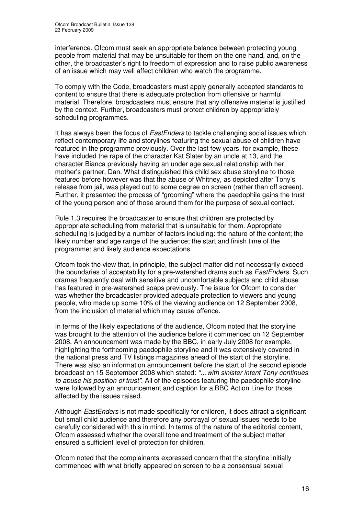interference. Ofcom must seek an appropriate balance between protecting young people from material that may be unsuitable for them on the one hand, and, on the other, the broadcaster's right to freedom of expression and to raise public awareness of an issue which may well affect children who watch the programme.

To comply with the Code, broadcasters must apply generally accepted standards to content to ensure that there is adequate protection from offensive or harmful material. Therefore, broadcasters must ensure that any offensive material is justified by the context. Further, broadcasters must protect children by appropriately scheduling programmes.

It has always been the focus of *EastEnders* to tackle challenging social issues which reflect contemporary life and storylines featuring the sexual abuse of children have featured in the programme previously. Over the last few years, for example, these have included the rape of the character Kat Slater by an uncle at 13, and the character Bianca previously having an under age sexual relationship with her mother's partner, Dan. What distinguished this child sex abuse storyline to those featured before however was that the abuse of Whitney, as depicted after Tony's release from jail, was played out to some degree on screen (rather than off screen). Further, it presented the process of "grooming" where the paedophile gains the trust of the young person and of those around them for the purpose of sexual contact.

Rule 1.3 requires the broadcaster to ensure that children are protected by appropriate scheduling from material that is unsuitable for them. Appropriate scheduling is judged by a number of factors including: the nature of the content; the likely number and age range of the audience; the start and finish time of the programme; and likely audience expectations.

Ofcom took the view that, in principle, the subject matter did not necessarily exceed the boundaries of acceptability for a pre-watershed drama such as *EastEnders.* Such dramas frequently deal with sensitive and uncomfortable subjects and child abuse has featured in pre-watershed soaps previously. The issue for Ofcom to consider was whether the broadcaster provided adequate protection to viewers and young people, who made up some 10% of the viewing audience on 12 September 2008, from the inclusion of material which may cause offence.

In terms of the likely expectations of the audience, Ofcom noted that the storyline was brought to the attention of the audience before it commenced on 12 September 2008. An announcement was made by the BBC, in early July 2008 for example, highlighting the forthcoming paedophile storyline and it was extensively covered in the national press and TV listings magazines ahead of the start of the storyline. There was also an information announcement before the start of the second episode broadcast on 15 September 2008 which stated: *"…with sinister intent Tony continues to abuse his position of trust"*. All of the episodes featuring the paedophile storyline were followed by an announcement and caption for a BBC Action Line for those affected by the issues raised.

Although *EastEnders* is not made specifically for children, it does attract a significant but small child audience and therefore any portrayal of sexual issues needs to be carefully considered with this in mind. In terms of the nature of the editorial content, Ofcom assessed whether the overall tone and treatment of the subject matter ensured a sufficient level of protection for children.

Ofcom noted that the complainants expressed concern that the storyline initially commenced with what briefly appeared on screen to be a consensual sexual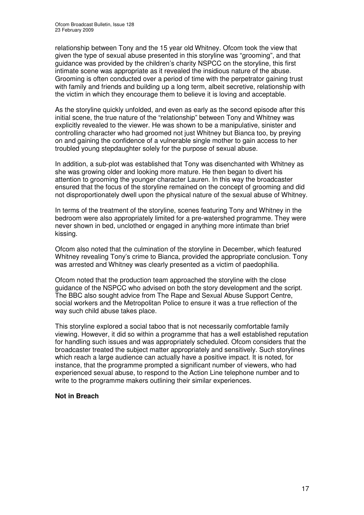relationship between Tony and the 15 year old Whitney. Ofcom took the view that given the type of sexual abuse presented in this storyline was "grooming", and that guidance was provided by the children's charity NSPCC on the storyline, this first intimate scene was appropriate as it revealed the insidious nature of the abuse. Grooming is often conducted over a period of time with the perpetrator gaining trust with family and friends and building up a long term, albeit secretive, relationship with the victim in which they encourage them to believe it is loving and acceptable.

As the storyline quickly unfolded, and even as early as the second episode after this initial scene, the true nature of the "relationship" between Tony and Whitney was explicitly revealed to the viewer. He was shown to be a manipulative, sinister and controlling character who had groomed not just Whitney but Bianca too, by preying on and gaining the confidence of a vulnerable single mother to gain access to her troubled young stepdaughter solely for the purpose of sexual abuse.

In addition, a sub-plot was established that Tony was disenchanted with Whitney as she was growing older and looking more mature. He then began to divert his attention to grooming the younger character Lauren. In this way the broadcaster ensured that the focus of the storyline remained on the concept of grooming and did not disproportionately dwell upon the physical nature of the sexual abuse of Whitney.

In terms of the treatment of the storyline, scenes featuring Tony and Whitney in the bedroom were also appropriately limited for a pre-watershed programme. They were never shown in bed, unclothed or engaged in anything more intimate than brief kissing.

Ofcom also noted that the culmination of the storyline in December, which featured Whitney revealing Tony's crime to Bianca, provided the appropriate conclusion. Tony was arrested and Whitney was clearly presented as a victim of paedophilia.

Ofcom noted that the production team approached the storyline with the close guidance of the NSPCC who advised on both the story development and the script. The BBC also sought advice from The Rape and Sexual Abuse Support Centre, social workers and the Metropolitan Police to ensure it was a true reflection of the way such child abuse takes place.

This storyline explored a social taboo that is not necessarily comfortable family viewing. However, it did so within a programme that has a well established reputation for handling such issues and was appropriately scheduled. Ofcom considers that the broadcaster treated the subject matter appropriately and sensitively. Such storylines which reach a large audience can actually have a positive impact. It is noted, for instance, that the programme prompted a significant number of viewers, who had experienced sexual abuse, to respond to the Action Line telephone number and to write to the programme makers outlining their similar experiences.

#### **Not in Breach**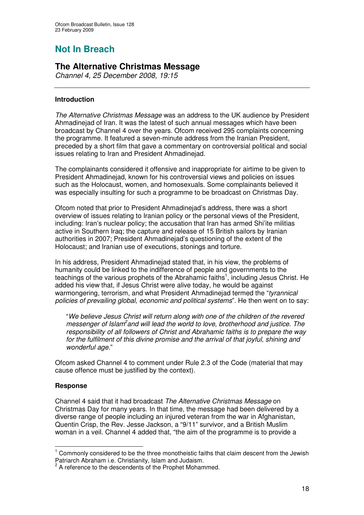# **Not In Breach**

## **The Alternative Christmas Message**

*Channel 4, 25 December 2008, 19:15*

#### **Introduction**

*The Alternative Christmas Message* was an address to the UK audience by President Ahmadinejad of Iran. It was the latest of such annual messages which have been broadcast by Channel 4 over the years. Ofcom received 295 complaints concerning the programme. It featured a seven-minute address from the Iranian President, preceded by a short film that gave a commentary on controversial political and social issues relating to Iran and President Ahmadinejad.

The complainants considered it offensive and inappropriate for airtime to be given to President Ahmadinejad, known for his controversial views and policies on issues such as the Holocaust, women, and homosexuals. Some complainants believed it was especially insulting for such a programme to be broadcast on Christmas Day.

Ofcom noted that prior to President Ahmadinejad's address, there was a short overview of issues relating to Iranian policy or the personal views of the President, including: Iran's nuclear policy; the accusation that Iran has armed Shi'ite militias active in Southern Iraq; the capture and release of 15 British sailors by Iranian authorities in 2007; President Ahmadinejad's questioning of the extent of the Holocaust; and Iranian use of executions, stonings and torture.

In his address, President Ahmadinejad stated that, in his view, the problems of humanity could be linked to the indifference of people and governments to the teachings of the various prophets of the Abrahamic faiths<sup>1</sup>, including Jesus Christ. He added his view that, if Jesus Christ were alive today, he would be against warmongering, terrorism, and what President Ahmadinejad termed the "*tyrannical policies of prevailing global, economic and political systems*". He then went on to say:

"*We believe Jesus Christ will return along with one of the children of the revered messenger of Islam 2 and will lead the world to love, brotherhood and justice. The responsibility of all followers of Christ and Abrahamic faiths is to prepare the way for the fulfilment of this divine promise and the arrival of that joyful, shining and wonderful age.*"

Ofcom asked Channel 4 to comment under Rule 2.3 of the Code (material that may cause offence must be justified by the context).

#### **Response**

Channel 4 said that it had broadcast *The Alternative Christmas Message* on Christmas Day for many years. In that time, the message had been delivered by a diverse range of people including an injured veteran from the war in Afghanistan, Quentin Crisp, the Rev. Jesse Jackson, a "9/11" survivor, and a British Muslim woman in a veil. Channel 4 added that, "the aim of the programme is to provide a

<sup>1</sup> Commonly considered to be the three monotheistic faiths that claim descent from the Jewish Patriarch Abraham i.e. Christianity, Islam and Judaism.

<sup>&</sup>lt;sup>2</sup> A reference to the descendents of the Prophet Mohammed.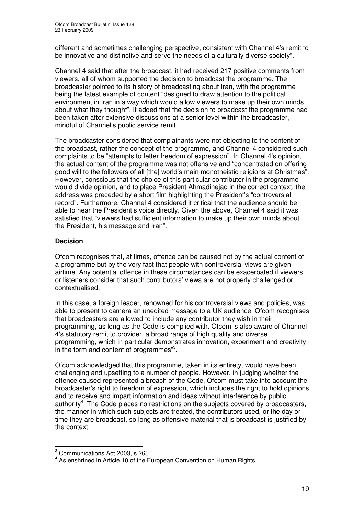different and sometimes challenging perspective, consistent with Channel 4's remit to be innovative and distinctive and serve the needs of a culturally diverse society".

Channel 4 said that after the broadcast, it had received 217 positive comments from viewers, all of whom supported the decision to broadcast the programme. The broadcaster pointed to its history of broadcasting about Iran, with the programme being the latest example of content "designed to draw attention to the political environment in Iran in a way which would allow viewers to make up their own minds about what they thought". It added that the decision to broadcast the programme had been taken after extensive discussions at a senior level within the broadcaster, mindful of Channel's public service remit.

The broadcaster considered that complainants were not objecting to the content of the broadcast, rather the concept of the programme, and Channel 4 considered such complaints to be "attempts to fetter freedom of expression". In Channel 4's opinion, the actual content of the programme was not offensive and "concentrated on offering good will to the followers of all [the] world's main monotheistic religions at Christmas". However, conscious that the choice of this particular contributor in the programme would divide opinion, and to place President Ahmadinejad in the correct context, the address was preceded by a short film highlighting the President's "controversial record". Furthermore, Channel 4 considered it critical that the audience should be able to hear the President's voice directly. Given the above, Channel 4 said it was satisfied that "viewers had sufficient information to make up their own minds about the President, his message and Iran".

#### **Decision**

Ofcom recognises that, at times, offence can be caused not by the actual content of a programme but by the very fact that people with controversial views are given airtime. Any potential offence in these circumstances can be exacerbated if viewers or listeners consider that such contributors' views are not properly challenged or contextualised.

In this case, a foreign leader, renowned for his controversial views and policies, was able to present to camera an unedited message to a UK audience. Ofcom recognises that broadcasters are allowed to include any contributor they wish in their programming, as long as the Code is complied with. Ofcom is also aware of Channel 4's statutory remit to provide: "a broad range of high quality and diverse programming, which in particular demonstrates innovation, experiment and creativity in the form and content of programmes"<sup>3</sup>.

Ofcom acknowledged that this programme, taken in its entirety, would have been challenging and upsetting to a number of people. However, in judging whether the offence caused represented a breach of the Code, Ofcom must take into account the broadcaster's right to freedom of expression, which includes the right to hold opinions and to receive and impart information and ideas without interference by public authority<sup>4</sup>. The Code places no restrictions on the subjects covered by broadcasters, the manner in which such subjects are treated, the contributors used, or the day or time they are broadcast, so long as offensive material that is broadcast is justified by the context.

<sup>3</sup> Communications Act 2003, s.265.

<sup>&</sup>lt;sup>4</sup> As enshrined in Article 10 of the European Convention on Human Rights.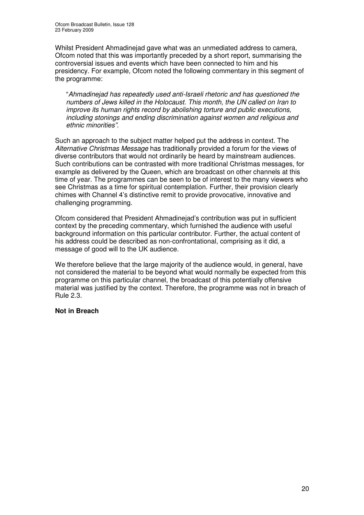Whilst President Ahmadinejad gave what was an unmediated address to camera, Ofcom noted that this was importantly preceded by a short report, summarising the controversial issues and events which have been connected to him and his presidency. For example, Ofcom noted the following commentary in this segment of the programme:

"*Ahmadinejad has repeatedly used anti-Israeli rhetoric and has questioned the numbers of Jews killed in the Holocaust. This month, the UN called on Iran to improve its human rights record by abolishing torture and public executions, including stonings and ending discrimination against women and religious and ethnic minorities".*

Such an approach to the subject matter helped put the address in context. The *Alternative Christmas Message* has traditionally provided a forum for the views of diverse contributors that would not ordinarily be heard by mainstream audiences. Such contributions can be contrasted with more traditional Christmas messages, for example as delivered by the Queen, which are broadcast on other channels at this time of year. The programmes can be seen to be of interest to the many viewers who see Christmas as a time for spiritual contemplation. Further, their provision clearly chimes with Channel 4's distinctive remit to provide provocative, innovative and challenging programming.

Ofcom considered that President Ahmadinejad's contribution was put in sufficient context by the preceding commentary, which furnished the audience with useful background information on this particular contributor. Further, the actual content of his address could be described as non-confrontational, comprising as it did, a message of good will to the UK audience.

We therefore believe that the large majority of the audience would, in general, have not considered the material to be beyond what would normally be expected from this programme on this particular channel, the broadcast of this potentially offensive material was justified by the context. Therefore, the programme was not in breach of Rule 2.3.

#### **Not in Breach**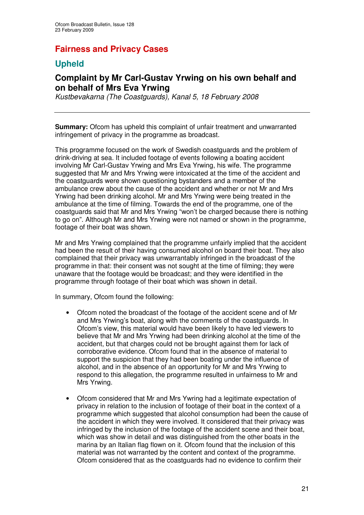## **Fairness and Privacy Cases**

## **Upheld**

## **Complaint by Mr Carl-Gustav Yrwing on his own behalf and on behalf of Mrs Eva Yrwing**

*Kustbevakarna (The Coastguards), Kanal 5, 18 February 2008*

**Summary:** Ofcom has upheld this complaint of unfair treatment and unwarranted infringement of privacy in the programme as broadcast.

This programme focused on the work of Swedish coastguards and the problem of drink-driving at sea. It included footage of events following a boating accident involving Mr Carl-Gustav Yrwing and Mrs Eva Yrwing, his wife. The programme suggested that Mr and Mrs Yrwing were intoxicated at the time of the accident and the coastguards were shown questioning bystanders and a member of the ambulance crew about the cause of the accident and whether or not Mr and Mrs Yrwing had been drinking alcohol. Mr and Mrs Yrwing were being treated in the ambulance at the time of filming. Towards the end of the programme, one of the coastguards said that Mr and Mrs Yrwing "won't be charged because there is nothing to go on". Although Mr and Mrs Yrwing were not named or shown in the programme, footage of their boat was shown.

Mr and Mrs Yrwing complained that the programme unfairly implied that the accident had been the result of their having consumed alcohol on board their boat. They also complained that their privacy was unwarrantably infringed in the broadcast of the programme in that: their consent was not sought at the time of filming; they were unaware that the footage would be broadcast; and they were identified in the programme through footage of their boat which was shown in detail.

In summary, Ofcom found the following:

- Ofcom noted the broadcast of the footage of the accident scene and of Mr and Mrs Yrwing's boat, along with the comments of the coastguards. In Ofcom's view, this material would have been likely to have led viewers to believe that Mr and Mrs Yrwing had been drinking alcohol at the time of the accident, but that charges could not be brought against them for lack of corroborative evidence. Ofcom found that in the absence of material to support the suspicion that they had been boating under the influence of alcohol, and in the absence of an opportunity for Mr and Mrs Yrwing to respond to this allegation, the programme resulted in unfairness to Mr and Mrs Yrwing.
- Ofcom considered that Mr and Mrs Ywring had a legitimate expectation of privacy in relation to the inclusion of footage of their boat in the context of a programme which suggested that alcohol consumption had been the cause of the accident in which they were involved. It considered that their privacy was infringed by the inclusion of the footage of the accident scene and their boat, which was show in detail and was distinguished from the other boats in the marina by an Italian flag flown on it. Ofcom found that the inclusion of this material was not warranted by the content and context of the programme. Ofcom considered that as the coastguards had no evidence to confirm their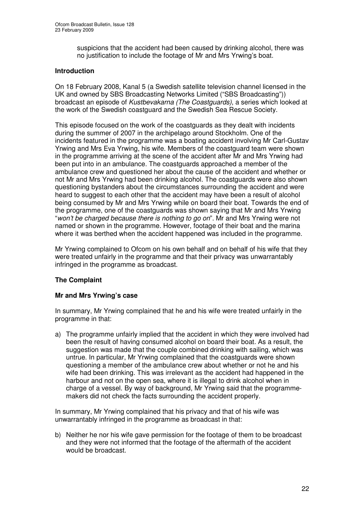suspicions that the accident had been caused by drinking alcohol, there was no justification to include the footage of Mr and Mrs Yrwing's boat.

#### **Introduction**

On 18 February 2008, Kanal 5 (a Swedish satellite television channel licensed in the UK and owned by SBS Broadcasting Networks Limited ("SBS Broadcasting")) broadcast an episode of *Kustbevakarna (The Coastguards)*, a series which looked at the work of the Swedish coastguard and the Swedish Sea Rescue Society.

This episode focused on the work of the coastguards as they dealt with incidents during the summer of 2007 in the archipelago around Stockholm. One of the incidents featured in the programme was a boating accident involving Mr Carl-Gustav Yrwing and Mrs Eva Yrwing, his wife. Members of the coastguard team were shown in the programme arriving at the scene of the accident after Mr and Mrs Yrwing had been put into in an ambulance. The coastguards approached a member of the ambulance crew and questioned her about the cause of the accident and whether or not Mr and Mrs Yrwing had been drinking alcohol. The coastguards were also shown questioning bystanders about the circumstances surrounding the accident and were heard to suggest to each other that the accident may have been a result of alcohol being consumed by Mr and Mrs Yrwing while on board their boat. Towards the end of the programme, one of the coastguards was shown saying that Mr and Mrs Yrwing "*won't be charged because there is nothing to go on*". Mr and Mrs Yrwing were not named or shown in the programme. However, footage of their boat and the marina where it was berthed when the accident happened was included in the programme.

Mr Yrwing complained to Ofcom on his own behalf and on behalf of his wife that they were treated unfairly in the programme and that their privacy was unwarrantably infringed in the programme as broadcast.

#### **The Complaint**

#### **Mr and Mrs Yrwing's case**

In summary, Mr Yrwing complained that he and his wife were treated unfairly in the programme in that:

a) The programme unfairly implied that the accident in which they were involved had been the result of having consumed alcohol on board their boat. As a result, the suggestion was made that the couple combined drinking with sailing, which was untrue. In particular, Mr Yrwing complained that the coastguards were shown questioning a member of the ambulance crew about whether or not he and his wife had been drinking. This was irrelevant as the accident had happened in the harbour and not on the open sea, where it is illegal to drink alcohol when in charge of a vessel. By way of background, Mr Yrwing said that the programmemakers did not check the facts surrounding the accident properly.

In summary, Mr Yrwing complained that his privacy and that of his wife was unwarrantably infringed in the programme as broadcast in that:

b) Neither he nor his wife gave permission for the footage of them to be broadcast and they were not informed that the footage of the aftermath of the accident would be broadcast.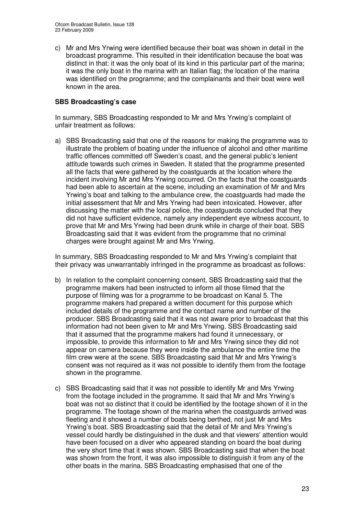c) Mr and Mrs Yrwing were identified because their boat was shown in detail in the broadcast programme. This resulted in their identification because the boat was distinct in that: it was the only boat of its kind in this particular part of the marina; it was the only boat in the marina with an Italian flag; the location of the marina was identified on the programme; and the complainants and their boat were well known in the area.

#### **SBS Broadcasting's case**

In summary, SBS Broadcasting responded to Mr and Mrs Yrwing's complaint of unfair treatment as follows:

a) SBS Broadcasting said that one of the reasons for making the programme was to illustrate the problem of boating under the influence of alcohol and other maritime traffic offences committed off Sweden's coast, and the general public's lenient attitude towards such crimes in Sweden. It stated that the programme presented all the facts that were gathered by the coastguards at the location where the incident involving Mr and Mrs Yrwing occurred. On the facts that the coastguards had been able to ascertain at the scene, including an examination of Mr and Mrs Yrwing's boat and talking to the ambulance crew, the coastguards had made the initial assessment that Mr and Mrs Yrwing had been intoxicated. However, after discussing the matter with the local police, the coastguards concluded that they did not have sufficient evidence, namely any independent eye witness account, to prove that Mr and Mrs Yrwing had been drunk while in charge of their boat. SBS Broadcasting said that it was evident from the programme that no criminal charges were brought against Mr and Mrs Yrwing.

In summary, SBS Broadcasting responded to Mr and Mrs Yrwing's complaint that their privacy was unwarrantably infringed in the programme as broadcast as follows:

- b) In relation to the complaint concerning consent, SBS Broadcasting said that the programme makers had been instructed to inform all those filmed that the purpose of filming was for a programme to be broadcast on Kanal 5. The programme makers had prepared a written document for this purpose which included details of the programme and the contact name and number of the producer. SBS Broadcasting said that it was not aware prior to broadcast that this information had not been given to Mr and Mrs Yrwing. SBS Broadcasting said that it assumed that the programme makers had found it unnecessary, or impossible, to provide this information to Mr and Mrs Yrwing since they did not appear on camera because they were inside the ambulance the entire time the film crew were at the scene. SBS Broadcasting said that Mr and Mrs Yrwing's consent was not required as it was not possible to identify them from the footage shown in the programme.
- c) SBS Broadcasting said that it was not possible to identify Mr and Mrs Yrwing from the footage included in the programme. It said that Mr and Mrs Yrwing's boat was not so distinct that it could be identified by the footage shown of it in the programme. The footage shown of the marina when the coastguards arrived was fleeting and it showed a number of boats being berthed, not just Mr and Mrs Yrwing's boat. SBS Broadcasting said that the detail of Mr and Mrs Yrwing's vessel could hardly be distinguished in the dusk and that viewers' attention would have been focused on a diver who appeared standing on board the boat during the very short time that it was shown. SBS Broadcasting said that when the boat was shown from the front, it was also impossible to distinguish it from any of the other boats in the marina. SBS Broadcasting emphasised that one of the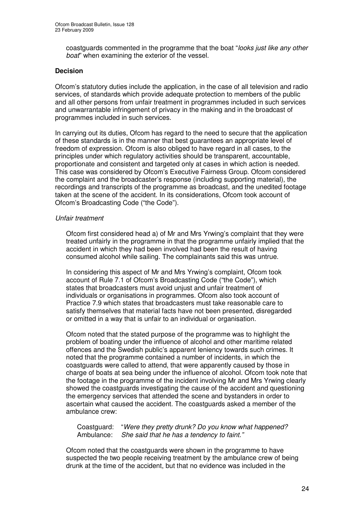coastguards commented in the programme that the boat "*looks just like any other boat*" when examining the exterior of the vessel.

#### **Decision**

Ofcom's statutory duties include the application, in the case of all television and radio services, of standards which provide adequate protection to members of the public and all other persons from unfair treatment in programmes included in such services and unwarrantable infringement of privacy in the making and in the broadcast of programmes included in such services.

In carrying out its duties, Ofcom has regard to the need to secure that the application of these standards is in the manner that best guarantees an appropriate level of freedom of expression. Ofcom is also obliged to have regard in all cases, to the principles under which regulatory activities should be transparent, accountable, proportionate and consistent and targeted only at cases in which action is needed. This case was considered by Ofcom's Executive Fairness Group. Ofcom considered the complaint and the broadcaster's response (including supporting material), the recordings and transcripts of the programme as broadcast, and the unedited footage taken at the scene of the accident. In its considerations, Ofcom took account of Ofcom's Broadcasting Code ("the Code").

#### *Unfair treatment*

Ofcom first considered head a) of Mr and Mrs Yrwing's complaint that they were treated unfairly in the programme in that the programme unfairly implied that the accident in which they had been involved had been the result of having consumed alcohol while sailing. The complainants said this was untrue.

In considering this aspect of Mr and Mrs Yrwing's complaint, Ofcom took account of Rule 7.1 of Ofcom's Broadcasting Code ("the Code"), which states that broadcasters must avoid unjust and unfair treatment of individuals or organisations in programmes. Ofcom also took account of Practice 7.9 which states that broadcasters must take reasonable care to satisfy themselves that material facts have not been presented, disregarded or omitted in a way that is unfair to an individual or organisation.

Ofcom noted that the stated purpose of the programme was to highlight the problem of boating under the influence of alcohol and other maritime related offences and the Swedish public's apparent leniency towards such crimes. It noted that the programme contained a number of incidents, in which the coastguards were called to attend, that were apparently caused by those in charge of boats at sea being under the influence of alcohol. Ofcom took note that the footage in the programme of the incident involving Mr and Mrs Yrwing clearly showed the coastguards investigating the cause of the accident and questioning the emergency services that attended the scene and bystanders in order to ascertain what caused the accident. The coastguards asked a member of the ambulance crew:

#### Coastguard: "*Were they pretty drunk? Do you know what happened?* Ambulance: *She said that he has a tendency to faint."*

Ofcom noted that the coastguards were shown in the programme to have suspected the two people receiving treatment by the ambulance crew of being drunk at the time of the accident, but that no evidence was included in the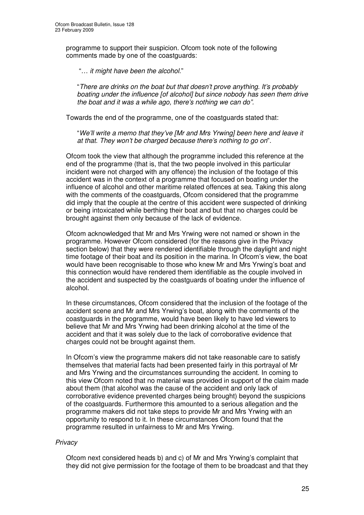programme to support their suspicion. Ofcom took note of the following comments made by one of the coastguards:

"*… it might have been the alcohol.*"

"*There are drinks on the boat but that doesn't prove anything. It's probably boating under the influence [of alcohol] but since nobody has seen them drive the boat and it was a while ago, there's nothing we can do".*

Towards the end of the programme, one of the coastguards stated that:

"*We'll write a memo that they've [Mr and Mrs Yrwing] been here and leave it at that. They won't be charged because there's nothing to go on*".

Ofcom took the view that although the programme included this reference at the end of the programme (that is, that the two people involved in this particular incident were not charged with any offence) the inclusion of the footage of this accident was in the context of a programme that focused on boating under the influence of alcohol and other maritime related offences at sea. Taking this along with the comments of the coastguards, Ofcom considered that the programme did imply that the couple at the centre of this accident were suspected of drinking or being intoxicated while berthing their boat and but that no charges could be brought against them only because of the lack of evidence.

Ofcom acknowledged that Mr and Mrs Yrwing were not named or shown in the programme. However Ofcom considered (for the reasons give in the Privacy section below) that they were rendered identifiable through the daylight and night time footage of their boat and its position in the marina. In Ofcom's view, the boat would have been recognisable to those who knew Mr and Mrs Yrwing's boat and this connection would have rendered them identifiable as the couple involved in the accident and suspected by the coastguards of boating under the influence of alcohol.

In these circumstances, Ofcom considered that the inclusion of the footage of the accident scene and Mr and Mrs Yrwing's boat, along with the comments of the coastguards in the programme, would have been likely to have led viewers to believe that Mr and Mrs Yrwing had been drinking alcohol at the time of the accident and that it was solely due to the lack of corroborative evidence that charges could not be brought against them.

In Ofcom's view the programme makers did not take reasonable care to satisfy themselves that material facts had been presented fairly in this portrayal of Mr and Mrs Yrwing and the circumstances surrounding the accident. In coming to this view Ofcom noted that no material was provided in support of the claim made about them (that alcohol was the cause of the accident and only lack of corroborative evidence prevented charges being brought) beyond the suspicions of the coastguards. Furthermore this amounted to a serious allegation and the programme makers did not take steps to provide Mr and Mrs Yrwing with an opportunity to respond to it. In these circumstances Ofcom found that the programme resulted in unfairness to Mr and Mrs Yrwing.

#### *Privacy*

Ofcom next considered heads b) and c) of Mr and Mrs Yrwing's complaint that they did not give permission for the footage of them to be broadcast and that they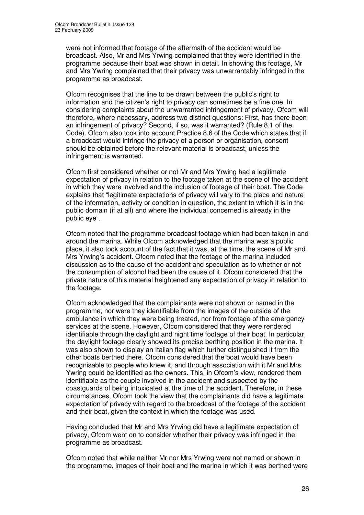were not informed that footage of the aftermath of the accident would be broadcast. Also, Mr and Mrs Yrwing complained that they were identified in the programme because their boat was shown in detail. In showing this footage, Mr and Mrs Ywring complained that their privacy was unwarrantably infringed in the programme as broadcast.

Ofcom recognises that the line to be drawn between the public's right to information and the citizen's right to privacy can sometimes be a fine one. In considering complaints about the unwarranted infringement of privacy, Ofcom will therefore, where necessary, address two distinct questions: First, has there been an infringement of privacy? Second, if so, was it warranted? (Rule 8.1 of the Code). Ofcom also took into account Practice 8.6 of the Code which states that if a broadcast would infringe the privacy of a person or organisation, consent should be obtained before the relevant material is broadcast, unless the infringement is warranted.

Ofcom first considered whether or not Mr and Mrs Yrwing had a legitimate expectation of privacy in relation to the footage taken at the scene of the accident in which they were involved and the inclusion of footage of their boat. The Code explains that "legitimate expectations of privacy will vary to the place and nature of the information, activity or condition in question, the extent to which it is in the public domain (if at all) and where the individual concerned is already in the public eye".

Ofcom noted that the programme broadcast footage which had been taken in and around the marina. While Ofcom acknowledged that the marina was a public place, it also took account of the fact that it was, at the time, the scene of Mr and Mrs Yrwing's accident. Ofcom noted that the footage of the marina included discussion as to the cause of the accident and speculation as to whether or not the consumption of alcohol had been the cause of it. Ofcom considered that the private nature of this material heightened any expectation of privacy in relation to the footage.

Ofcom acknowledged that the complainants were not shown or named in the programme, nor were they identifiable from the images of the outside of the ambulance in which they were being treated, nor from footage of the emergency services at the scene. However, Ofcom considered that they were rendered identifiable through the daylight and night time footage of their boat. In particular, the daylight footage clearly showed its precise berthing position in the marina. It was also shown to display an Italian flag which further distinguished it from the other boats berthed there. Ofcom considered that the boat would have been recognisable to people who knew it, and through association with it Mr and Mrs Ywring could be identified as the owners. This, in Ofcom's view, rendered them identifiable as the couple involved in the accident and suspected by the coastguards of being intoxicated at the time of the accident. Therefore, in these circumstances, Ofcom took the view that the complainants did have a legitimate expectation of privacy with regard to the broadcast of the footage of the accident and their boat, given the context in which the footage was used.

Having concluded that Mr and Mrs Yrwing did have a legitimate expectation of privacy, Ofcom went on to consider whether their privacy was infringed in the programme as broadcast.

Ofcom noted that while neither Mr nor Mrs Yrwing were not named or shown in the programme, images of their boat and the marina in which it was berthed were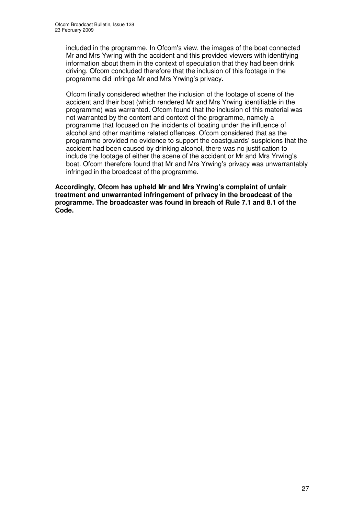included in the programme. In Ofcom's view, the images of the boat connected Mr and Mrs Ywring with the accident and this provided viewers with identifying information about them in the context of speculation that they had been drink driving. Ofcom concluded therefore that the inclusion of this footage in the programme did infringe Mr and Mrs Yrwing's privacy.

Ofcom finally considered whether the inclusion of the footage of scene of the accident and their boat (which rendered Mr and Mrs Yrwing identifiable in the programme) was warranted. Ofcom found that the inclusion of this material was not warranted by the content and context of the programme, namely a programme that focused on the incidents of boating under the influence of alcohol and other maritime related offences. Ofcom considered that as the programme provided no evidence to support the coastguards' suspicions that the accident had been caused by drinking alcohol, there was no justification to include the footage of either the scene of the accident or Mr and Mrs Yrwing's boat. Ofcom therefore found that Mr and Mrs Yrwing's privacy was unwarrantably infringed in the broadcast of the programme.

**Accordingly, Ofcom has upheld Mr and Mrs Yrwing's complaint of unfair treatment and unwarranted infringement of privacy in the broadcast of the programme. The broadcaster was found in breach of Rule 7.1 and 8.1 of the Code.**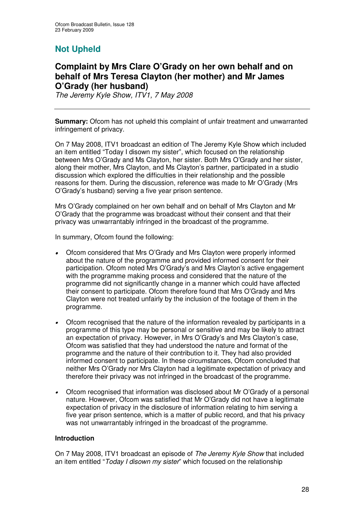## **Not Upheld**

## **Complaint by Mrs Clare O'Grady on her own behalf and on behalf of Mrs Teresa Clayton (her mother) and Mr James O'Grady (her husband)**

*The Jeremy Kyle Show, ITV1, 7 May 2008*

**Summary:** Ofcom has not upheld this complaint of unfair treatment and unwarranted infringement of privacy.

On 7 May 2008, ITV1 broadcast an edition of The Jeremy Kyle Show which included an item entitled "Today I disown my sister", which focused on the relationship between Mrs O'Grady and Ms Clayton, her sister. Both Mrs O'Grady and her sister, along their mother, Mrs Clayton, and Ms Clayton's partner, participated in a studio discussion which explored the difficulties in their relationship and the possible reasons for them. During the discussion, reference was made to Mr O'Grady (Mrs O'Grady's husband) serving a five year prison sentence.

Mrs O'Grady complained on her own behalf and on behalf of Mrs Clayton and Mr O'Grady that the programme was broadcast without their consent and that their privacy was unwarrantably infringed in the broadcast of the programme.

In summary, Ofcom found the following:

- • Ofcom considered that Mrs O'Grady and Mrs Clayton were properly informed about the nature of the programme and provided informed consent for their participation. Ofcom noted Mrs O'Grady's and Mrs Clayton's active engagement with the programme making process and considered that the nature of the programme did not significantly change in a manner which could have affected their consent to participate. Ofcom therefore found that Mrs O'Grady and Mrs Clayton were not treated unfairly by the inclusion of the footage of them in the programme.
- • Ofcom recognised that the nature of the information revealed by participants in a programme of this type may be personal or sensitive and may be likely to attract an expectation of privacy. However, in Mrs O'Grady's and Mrs Clayton's case, Ofcom was satisfied that they had understood the nature and format of the programme and the nature of their contribution to it. They had also provided informed consent to participate. In these circumstances, Ofcom concluded that neither Mrs O'Grady nor Mrs Clayton had a legitimate expectation of privacy and therefore their privacy was not infringed in the broadcast of the programme.
- • Ofcom recognised that information was disclosed about Mr O'Grady of a personal nature. However, Ofcom was satisfied that Mr O'Grady did not have a legitimate expectation of privacy in the disclosure of information relating to him serving a five year prison sentence, which is a matter of public record, and that his privacy was not unwarrantably infringed in the broadcast of the programme.

#### **Introduction**

On 7 May 2008, ITV1 broadcast an episode of *The Jeremy Kyle Show* that included an item entitled "*Today I disown my sister*" which focused on the relationship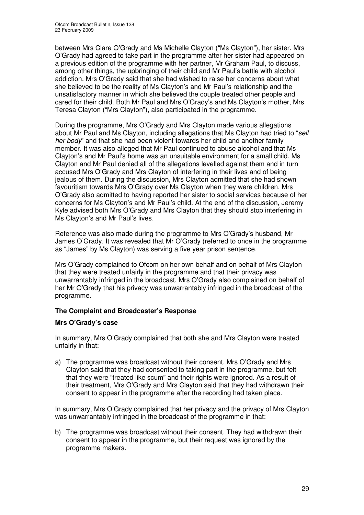between Mrs Clare O'Grady and Ms Michelle Clayton ("Ms Clayton"), her sister. Mrs O'Grady had agreed to take part in the programme after her sister had appeared on a previous edition of the programme with her partner, Mr Graham Paul, to discuss, among other things, the upbringing of their child and Mr Paul's battle with alcohol addiction. Mrs O'Grady said that she had wished to raise her concerns about what she believed to be the reality of Ms Clayton's and Mr Paul's relationship and the unsatisfactory manner in which she believed the couple treated other people and cared for their child. Both Mr Paul and Mrs O'Grady's and Ms Clayton's mother, Mrs Teresa Clayton ("Mrs Clayton"), also participated in the programme.

During the programme, Mrs O'Grady and Mrs Clayton made various allegations about Mr Paul and Ms Clayton, including allegations that Ms Clayton had tried to "*sell her body*" and that she had been violent towards her child and another family member. It was also alleged that Mr Paul continued to abuse alcohol and that Ms Clayton's and Mr Paul's home was an unsuitable environment for a small child. Ms Clayton and Mr Paul denied all of the allegations levelled against them and in turn accused Mrs O'Grady and Mrs Clayton of interfering in their lives and of being jealous of them. During the discussion, Mrs Clayton admitted that she had shown favouritism towards Mrs O'Grady over Ms Clayton when they were children. Mrs O'Grady also admitted to having reported her sister to social services because of her concerns for Ms Clayton's and Mr Paul's child. At the end of the discussion, Jeremy Kyle advised both Mrs O'Grady and Mrs Clayton that they should stop interfering in Ms Clayton's and Mr Paul's lives.

Reference was also made during the programme to Mrs O'Grady's husband, Mr James O'Grady. It was revealed that Mr O'Grady (referred to once in the programme as "James" by Ms Clayton) was serving a five year prison sentence.

Mrs O'Grady complained to Ofcom on her own behalf and on behalf of Mrs Clayton that they were treated unfairly in the programme and that their privacy was unwarrantably infringed in the broadcast. Mrs O'Grady also complained on behalf of her Mr O'Grady that his privacy was unwarrantably infringed in the broadcast of the programme.

#### **The Complaint and Broadcaster's Response**

#### **Mrs O'Grady's case**

In summary, Mrs O'Grady complained that both she and Mrs Clayton were treated unfairly in that:

a) The programme was broadcast without their consent. Mrs O'Grady and Mrs Clayton said that they had consented to taking part in the programme, but felt that they were "treated like scum" and their rights were ignored. As a result of their treatment, Mrs O'Grady and Mrs Clayton said that they had withdrawn their consent to appear in the programme after the recording had taken place.

In summary, Mrs O'Grady complained that her privacy and the privacy of Mrs Clayton was unwarrantably infringed in the broadcast of the programme in that:

b) The programme was broadcast without their consent. They had withdrawn their consent to appear in the programme, but their request was ignored by the programme makers.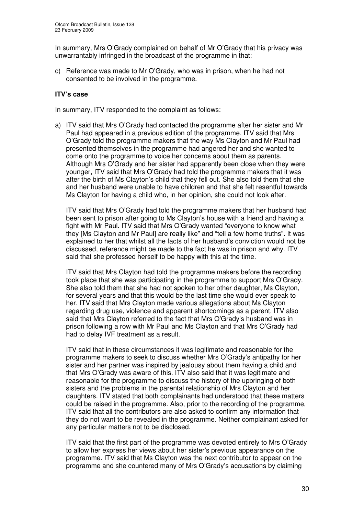In summary, Mrs O'Grady complained on behalf of Mr O'Grady that his privacy was unwarrantably infringed in the broadcast of the programme in that:

c) Reference was made to Mr O'Grady, who was in prison, when he had not consented to be involved in the programme.

#### **ITV's case**

In summary, ITV responded to the complaint as follows:

a) ITV said that Mrs O'Grady had contacted the programme after her sister and Mr Paul had appeared in a previous edition of the programme. ITV said that Mrs O'Grady told the programme makers that the way Ms Clayton and Mr Paul had presented themselves in the programme had angered her and she wanted to come onto the programme to voice her concerns about them as parents. Although Mrs O'Grady and her sister had apparently been close when they were younger, ITV said that Mrs O'Grady had told the programme makers that it was after the birth of Ms Clayton's child that they fell out. She also told them that she and her husband were unable to have children and that she felt resentful towards Ms Clayton for having a child who, in her opinion, she could not look after.

ITV said that Mrs O'Grady had told the programme makers that her husband had been sent to prison after going to Ms Clayton's house with a friend and having a fight with Mr Paul. ITV said that Mrs O'Grady wanted "everyone to know what they [Ms Clayton and Mr Paul] are really like" and "tell a few home truths". It was explained to her that whilst all the facts of her husband's conviction would not be discussed, reference might be made to the fact he was in prison and why. ITV said that she professed herself to be happy with this at the time.

ITV said that Mrs Clayton had told the programme makers before the recording took place that she was participating in the programme to support Mrs O'Grady. She also told them that she had not spoken to her other daughter, Ms Clayton, for several years and that this would be the last time she would ever speak to her. ITV said that Mrs Clayton made various allegations about Ms Clayton regarding drug use, violence and apparent shortcomings as a parent. ITV also said that Mrs Clayton referred to the fact that Mrs O'Grady's husband was in prison following a row with Mr Paul and Ms Clayton and that Mrs O'Grady had had to delay IVF treatment as a result.

ITV said that in these circumstances it was legitimate and reasonable for the programme makers to seek to discuss whether Mrs O'Grady's antipathy for her sister and her partner was inspired by jealousy about them having a child and that Mrs O'Grady was aware of this. ITV also said that it was legitimate and reasonable for the programme to discuss the history of the upbringing of both sisters and the problems in the parental relationship of Mrs Clayton and her daughters. ITV stated that both complainants had understood that these matters could be raised in the programme. Also, prior to the recording of the programme, ITV said that all the contributors are also asked to confirm any information that they do not want to be revealed in the programme. Neither complainant asked for any particular matters not to be disclosed.

ITV said that the first part of the programme was devoted entirely to Mrs O'Grady to allow her express her views about her sister's previous appearance on the programme. ITV said that Ms Clayton was the next contributor to appear on the programme and she countered many of Mrs O'Grady's accusations by claiming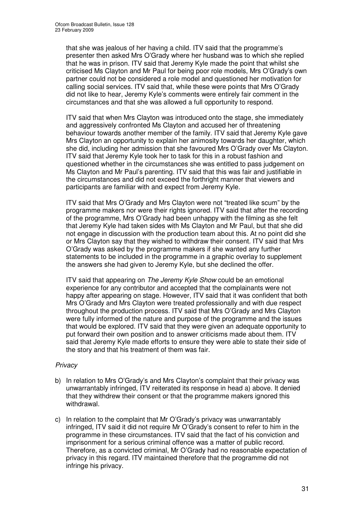that she was jealous of her having a child. ITV said that the programme's presenter then asked Mrs O'Grady where her husband was to which she replied that he was in prison. ITV said that Jeremy Kyle made the point that whilst she criticised Ms Clayton and Mr Paul for being poor role models, Mrs O'Grady's own partner could not be considered a role model and questioned her motivation for calling social services. ITV said that, while these were points that Mrs O'Grady did not like to hear, Jeremy Kyle's comments were entirely fair comment in the circumstances and that she was allowed a full opportunity to respond.

ITV said that when Mrs Clayton was introduced onto the stage, she immediately and aggressively confronted Ms Clayton and accused her of threatening behaviour towards another member of the family. ITV said that Jeremy Kyle gave Mrs Clayton an opportunity to explain her animosity towards her daughter, which she did, including her admission that she favoured Mrs O'Grady over Ms Clayton. ITV said that Jeremy Kyle took her to task for this in a robust fashion and questioned whether in the circumstances she was entitled to pass judgement on Ms Clayton and Mr Paul's parenting. ITV said that this was fair and justifiable in the circumstances and did not exceed the forthright manner that viewers and participants are familiar with and expect from Jeremy Kyle.

ITV said that Mrs O'Grady and Mrs Clayton were not "treated like scum" by the programme makers nor were their rights ignored. ITV said that after the recording of the programme, Mrs O'Grady had been unhappy with the filming as she felt that Jeremy Kyle had taken sides with Ms Clayton and Mr Paul, but that she did not engage in discussion with the production team about this. At no point did she or Mrs Clayton say that they wished to withdraw their consent. ITV said that Mrs O'Grady was asked by the programme makers if she wanted any further statements to be included in the programme in a graphic overlay to supplement the answers she had given to Jeremy Kyle, but she declined the offer.

ITV said that appearing on *The Jeremy Kyle Show* could be an emotional experience for any contributor and accepted that the complainants were not happy after appearing on stage. However, ITV said that it was confident that both Mrs O'Grady and Mrs Clayton were treated professionally and with due respect throughout the production process. ITV said that Mrs O'Grady and Mrs Clayton were fully informed of the nature and purpose of the programme and the issues that would be explored. ITV said that they were given an adequate opportunity to put forward their own position and to answer criticisms made about them. ITV said that Jeremy Kyle made efforts to ensure they were able to state their side of the story and that his treatment of them was fair.

#### *Privacy*

- b) In relation to Mrs O'Grady's and Mrs Clayton's complaint that their privacy was unwarrantably infringed, ITV reiterated its response in head a) above. It denied that they withdrew their consent or that the programme makers ignored this withdrawal.
- c) In relation to the complaint that Mr O'Grady's privacy was unwarrantably infringed, ITV said it did not require Mr O'Grady's consent to refer to him in the programme in these circumstances. ITV said that the fact of his conviction and imprisonment for a serious criminal offence was a matter of public record. Therefore, as a convicted criminal, Mr O'Grady had no reasonable expectation of privacy in this regard. ITV maintained therefore that the programme did not infringe his privacy.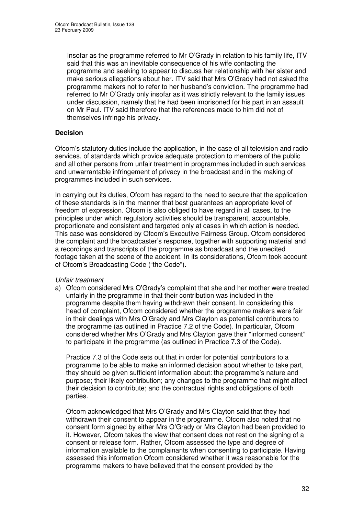Insofar as the programme referred to Mr O'Grady in relation to his family life, ITV said that this was an inevitable consequence of his wife contacting the programme and seeking to appear to discuss her relationship with her sister and make serious allegations about her. ITV said that Mrs O'Grady had not asked the programme makers not to refer to her husband's conviction. The programme had referred to Mr O'Grady only insofar as it was strictly relevant to the family issues under discussion, namely that he had been imprisoned for his part in an assault on Mr Paul. ITV said therefore that the references made to him did not of themselves infringe his privacy.

#### **Decision**

Ofcom's statutory duties include the application, in the case of all television and radio services, of standards which provide adequate protection to members of the public and all other persons from unfair treatment in programmes included in such services and unwarrantable infringement of privacy in the broadcast and in the making of programmes included in such services.

In carrying out its duties, Ofcom has regard to the need to secure that the application of these standards is in the manner that best guarantees an appropriate level of freedom of expression. Ofcom is also obliged to have regard in all cases, to the principles under which regulatory activities should be transparent, accountable, proportionate and consistent and targeted only at cases in which action is needed. This case was considered by Ofcom's Executive Fairness Group. Ofcom considered the complaint and the broadcaster's response, together with supporting material and a recordings and transcripts of the programme as broadcast and the unedited footage taken at the scene of the accident. In its considerations, Ofcom took account of Ofcom's Broadcasting Code ("the Code").

#### *Unfair treatment*

a) Ofcom considered Mrs O'Grady's complaint that she and her mother were treated unfairly in the programme in that their contribution was included in the programme despite them having withdrawn their consent. In considering this head of complaint, Ofcom considered whether the programme makers were fair in their dealings with Mrs O'Grady and Mrs Clayton as potential contributors to the programme (as outlined in Practice 7.2 of the Code). In particular, Ofcom considered whether Mrs O'Grady and Mrs Clayton gave their "informed consent" to participate in the programme (as outlined in Practice 7.3 of the Code).

Practice 7.3 of the Code sets out that in order for potential contributors to a programme to be able to make an informed decision about whether to take part, they should be given sufficient information about: the programme's nature and purpose; their likely contribution; any changes to the programme that might affect their decision to contribute; and the contractual rights and obligations of both parties.

Ofcom acknowledged that Mrs O'Grady and Mrs Clayton said that they had withdrawn their consent to appear in the programme. Ofcom also noted that no consent form signed by either Mrs O'Grady or Mrs Clayton had been provided to it. However, Ofcom takes the view that consent does not rest on the signing of a consent or release form. Rather, Ofcom assessed the type and degree of information available to the complainants when consenting to participate. Having assessed this information Ofcom considered whether it was reasonable for the programme makers to have believed that the consent provided by the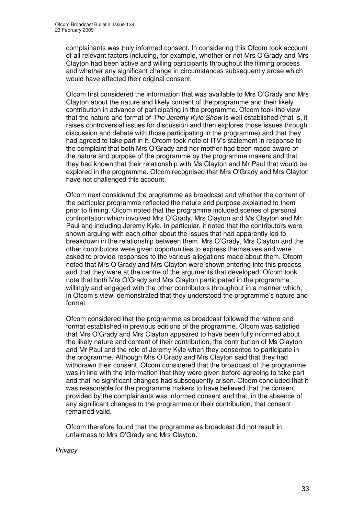complainants was truly informed consent. In considering this Ofcom took account of all relevant factors including, for example, whether or not Mrs O'Grady and Mrs Clayton had been active and willing participants throughout the filming process and whether any significant change in circumstances subsequently arose which would have affected their original consent.

Ofcom first considered the information that was available to Mrs O'Grady and Mrs Clayton about the nature and likely content of the programme and their likely contribution in advance of participating in the programme. Ofcom took the view that the nature and format of *The Jeremy Kyle Show* is well established (that is, it raises controversial issues for discussion and then explores those issues through discussion and debate with those participating in the programme) and that they had agreed to take part in it. Ofcom took note of ITV's statement in response to the complaint that both Mrs O'Grady and her mother had been made aware of the nature and purpose of the programme by the programme makers and that they had known that their relationship with Ms Clayton and Mr Paul that would be explored in the programme. Ofcom recognised that Mrs O'Grady and Mrs Clayton have not challenged this account.

Ofcom next considered the programme as broadcast and whether the content of the particular programme reflected the nature and purpose explained to them prior to filming. Ofcom noted that the programme included scenes of personal confrontation which involved Mrs O'Grady, Mrs Clayton and Ms Clayton and Mr Paul and including Jeremy Kyle. In particular, it noted that the contributors were shown arguing with each other about the issues that had apparently led to breakdown in the relationship between them. Mrs O'Grady, Mrs Clayton and the other contributors were given opportunities to express themselves and were asked to provide responses to the various allegations made about them. Ofcom noted that Mrs O'Grady and Mrs Clayton were shown entering into this process and that they were at the centre of the arguments that developed. Ofcom took note that both Mrs O'Grady and Mrs Clayton participated in the programme willingly and engaged with the other contributors throughout in a manner which, in Ofcom's view, demonstrated that they understood the programme's nature and format.

Ofcom considered that the programme as broadcast followed the nature and format established in previous editions of the programme. Ofcom was satisfied that Mrs O'Grady and Mrs Clayton appeared to have been fully informed about the likely nature and content of their contribution, the contribution of Ms Clayton and Mr Paul and the role of Jeremy Kyle when they consented to participate in the programme. Although Mrs O'Grady and Mrs Clayton said that they had withdrawn their consent, Ofcom considered that the broadcast of the programme was in line with the information that they were given before agreeing to take part and that no significant changes had subsequently arisen. Ofcom concluded that it was reasonable for the programme makers to have believed that the consent provided by the complainants was informed consent and that, in the absence of any significant changes to the programme or their contribution, that consent remained valid.

Ofcom therefore found that the programme as broadcast did not result in unfairness to Mrs O'Grady and Mrs Clayton.

*Privacy*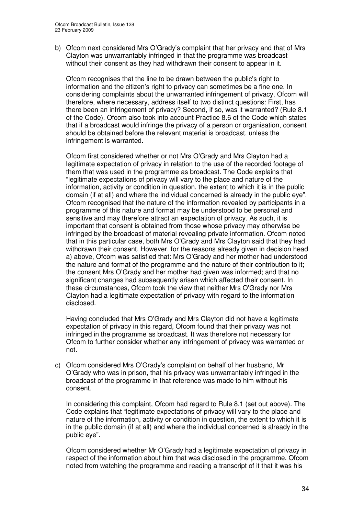b) Ofcom next considered Mrs O'Grady's complaint that her privacy and that of Mrs Clayton was unwarrantably infringed in that the programme was broadcast without their consent as they had withdrawn their consent to appear in it.

Ofcom recognises that the line to be drawn between the public's right to information and the citizen's right to privacy can sometimes be a fine one. In considering complaints about the unwarranted infringement of privacy, Ofcom will therefore, where necessary, address itself to two distinct questions: First, has there been an infringement of privacy? Second, if so, was it warranted? (Rule 8.1 of the Code). Ofcom also took into account Practice 8.6 of the Code which states that if a broadcast would infringe the privacy of a person or organisation, consent should be obtained before the relevant material is broadcast, unless the infringement is warranted.

Ofcom first considered whether or not Mrs O'Grady and Mrs Clayton had a legitimate expectation of privacy in relation to the use of the recorded footage of them that was used in the programme as broadcast. The Code explains that "legitimate expectations of privacy will vary to the place and nature of the information, activity or condition in question, the extent to which it is in the public domain (if at all) and where the individual concerned is already in the public eye". Ofcom recognised that the nature of the information revealed by participants in a programme of this nature and format may be understood to be personal and sensitive and may therefore attract an expectation of privacy. As such, it is important that consent is obtained from those whose privacy may otherwise be infringed by the broadcast of material revealing private information. Ofcom noted that in this particular case, both Mrs O'Grady and Mrs Clayton said that they had withdrawn their consent. However, for the reasons already given in decision head a) above, Ofcom was satisfied that: Mrs O'Grady and her mother had understood the nature and format of the programme and the nature of their contribution to it; the consent Mrs O'Grady and her mother had given was informed; and that no significant changes had subsequently arisen which affected their consent. In these circumstances, Ofcom took the view that neither Mrs O'Grady nor Mrs Clayton had a legitimate expectation of privacy with regard to the information disclosed.

Having concluded that Mrs O'Grady and Mrs Clayton did not have a legitimate expectation of privacy in this regard, Ofcom found that their privacy was not infringed in the programme as broadcast. It was therefore not necessary for Ofcom to further consider whether any infringement of privacy was warranted or not.

c) Ofcom considered Mrs O'Grady's complaint on behalf of her husband, Mr O'Grady who was in prison, that his privacy was unwarrantably infringed in the broadcast of the programme in that reference was made to him without his consent.

In considering this complaint, Ofcom had regard to Rule 8.1 (set out above). The Code explains that "legitimate expectations of privacy will vary to the place and nature of the information, activity or condition in question, the extent to which it is in the public domain (if at all) and where the individual concerned is already in the public eye".

Ofcom considered whether Mr O'Grady had a legitimate expectation of privacy in respect of the information about him that was disclosed in the programme. Ofcom noted from watching the programme and reading a transcript of it that it was his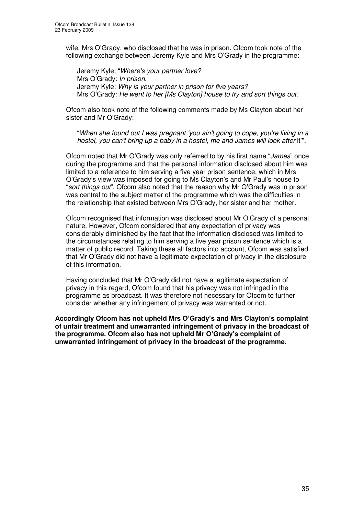wife, Mrs O'Grady, who disclosed that he was in prison. Ofcom took note of the following exchange between Jeremy Kyle and Mrs O'Grady in the programme:

Jeremy Kyle: "*Where's your partner love?* Mrs O'Grady: *In prison*. Jeremy Kyle: *Why is your partner in prison for five years?* Mrs O'Grady: *He went to her [Ms Clayton] house to try and sort things out.*"

Ofcom also took note of the following comments made by Ms Clayton about her sister and Mr O'Grady:

"*When she found out I was pregnant 'you ain't going to cope, you're living in a hostel, you can't bring up a baby in a hostel, me and James will look after* it'".

Ofcom noted that Mr O'Grady was only referred to by his first name "*James*" once during the programme and that the personal information disclosed about him was limited to a reference to him serving a five year prison sentence, which in Mrs O'Grady's view was imposed for going to Ms Clayton's and Mr Paul's house to "*sort things out*". Ofcom also noted that the reason why Mr O'Grady was in prison was central to the subject matter of the programme which was the difficulties in the relationship that existed between Mrs O'Grady, her sister and her mother.

Ofcom recognised that information was disclosed about Mr O'Grady of a personal nature. However, Ofcom considered that any expectation of privacy was considerably diminished by the fact that the information disclosed was limited to the circumstances relating to him serving a five year prison sentence which is a matter of public record. Taking these all factors into account, Ofcom was satisfied that Mr O'Grady did not have a legitimate expectation of privacy in the disclosure of this information.

Having concluded that Mr O'Grady did not have a legitimate expectation of privacy in this regard, Ofcom found that his privacy was not infringed in the programme as broadcast. It was therefore not necessary for Ofcom to further consider whether any infringement of privacy was warranted or not.

**Accordingly Ofcom has not upheld Mrs O'Grady's and Mrs Clayton's complaint of unfair treatment and unwarranted infringement of privacy in the broadcast of the programme. Ofcom also has not upheld Mr O'Grady's complaint of unwarranted infringement of privacy in the broadcast of the programme.**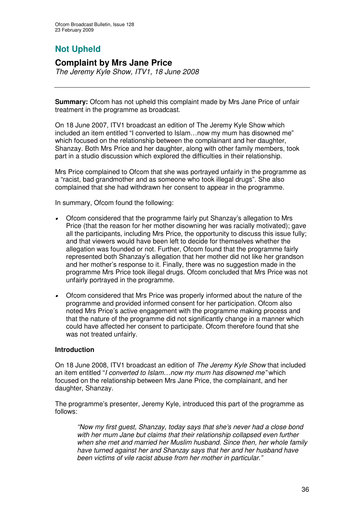# **Not Upheld**

#### **Complaint by Mrs Jane Price** *The Jeremy Kyle Show, ITV1, 18 June 2008*

**Summary:** Ofcom has not upheld this complaint made by Mrs Jane Price of unfair treatment in the programme as broadcast.

On 18 June 2007, ITV1 broadcast an edition of The Jeremy Kyle Show which included an item entitled "I converted to Islam…now my mum has disowned me" which focused on the relationship between the complainant and her daughter, Shanzay. Both Mrs Price and her daughter, along with other family members, took part in a studio discussion which explored the difficulties in their relationship.

Mrs Price complained to Ofcom that she was portrayed unfairly in the programme as a "racist, bad grandmother and as someone who took illegal drugs". She also complained that she had withdrawn her consent to appear in the programme.

In summary, Ofcom found the following:

- • Ofcom considered that the programme fairly put Shanzay's allegation to Mrs Price (that the reason for her mother disowning her was racially motivated); gave all the participants, including Mrs Price, the opportunity to discuss this issue fully; and that viewers would have been left to decide for themselves whether the allegation was founded or not. Further, Ofcom found that the programme fairly represented both Shanzay's allegation that her mother did not like her grandson and her mother's response to it. Finally, there was no suggestion made in the programme Mrs Price took illegal drugs. Ofcom concluded that Mrs Price was not unfairly portrayed in the programme.
- • Ofcom considered that Mrs Price was properly informed about the nature of the programme and provided informed consent for her participation. Ofcom also noted Mrs Price's active engagement with the programme making process and that the nature of the programme did not significantly change in a manner which could have affected her consent to participate. Ofcom therefore found that she was not treated unfairly.

#### **Introduction**

On 18 June 2008, ITV1 broadcast an edition of *The Jeremy Kyle Show* that included an item entitled "*I converted to Islam…now my mum has disowned me"* which focused on the relationship between Mrs Jane Price, the complainant, and her daughter, Shanzay.

The programme's presenter, Jeremy Kyle, introduced this part of the programme as follows:

*"Now my first guest, Shanzay, today says that she's never had a close bond with her mum Jane but claims that their relationship collapsed even further when she met and married her Muslim husband. Since then, her whole family have turned against her and Shanzay says that her and her husband have been victims of vile racist abuse from her mother in particular."*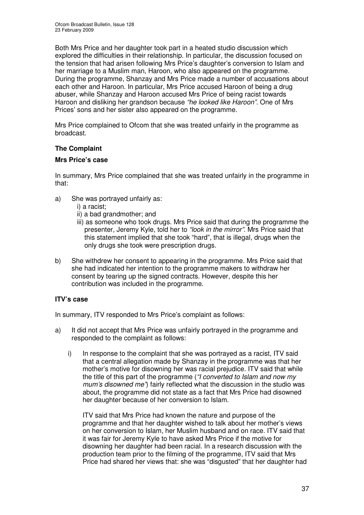Both Mrs Price and her daughter took part in a heated studio discussion which explored the difficulties in their relationship. In particular, the discussion focused on the tension that had arisen following Mrs Price's daughter's conversion to Islam and her marriage to a Muslim man, Haroon, who also appeared on the programme. During the programme, Shanzay and Mrs Price made a number of accusations about each other and Haroon. In particular, Mrs Price accused Haroon of being a drug abuser, while Shanzay and Haroon accused Mrs Price of being racist towards Haroon and disliking her grandson because *"he looked like Haroon"*. One of Mrs Prices' sons and her sister also appeared on the programme.

Mrs Price complained to Ofcom that she was treated unfairly in the programme as broadcast.

#### **The Complaint**

#### **Mrs Price's case**

In summary, Mrs Price complained that she was treated unfairly in the programme in that:

- a) She was portrayed unfairly as:
	- i) a racist;
	- ii) a bad grandmother; and
	- iii) as someone who took drugs. Mrs Price said that during the programme the presenter, Jeremy Kyle, told her to *"look in the mirror"*. Mrs Price said that this statement implied that she took "hard", that is illegal, drugs when the only drugs she took were prescription drugs.
- b) She withdrew her consent to appearing in the programme. Mrs Price said that she had indicated her intention to the programme makers to withdraw her consent by tearing up the signed contracts. However, despite this her contribution was included in the programme.

#### **ITV's case**

In summary, ITV responded to Mrs Price's complaint as follows:

- a) It did not accept that Mrs Price was unfairly portrayed in the programme and responded to the complaint as follows:
	- i) In response to the complaint that she was portrayed as a racist, ITV said that a central allegation made by Shanzay in the programme was that her mother's motive for disowning her was racial prejudice. ITV said that while the title of this part of the programme (*"I converted to Islam and now my mum's disowned me"*) fairly reflected what the discussion in the studio was about, the programme did not state as a fact that Mrs Price had disowned her daughter because of her conversion to Islam.

ITV said that Mrs Price had known the nature and purpose of the programme and that her daughter wished to talk about her mother's views on her conversion to Islam, her Muslim husband and on race. ITV said that it was fair for Jeremy Kyle to have asked Mrs Price if the motive for disowning her daughter had been racial. In a research discussion with the production team prior to the filming of the programme, ITV said that Mrs Price had shared her views that: she was "disgusted" that her daughter had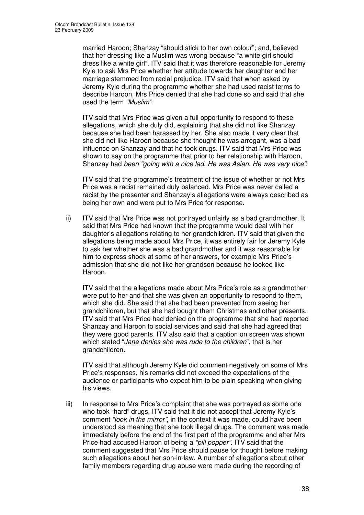married Haroon; Shanzay "should stick to her own colour"; and, believed that her dressing like a Muslim was wrong because "a white girl should dress like a white girl". ITV said that it was therefore reasonable for Jeremy Kyle to ask Mrs Price whether her attitude towards her daughter and her marriage stemmed from racial prejudice. ITV said that when asked by Jeremy Kyle during the programme whether she had used racist terms to describe Haroon, Mrs Price denied that she had done so and said that she used the term *"Muslim"*.

ITV said that Mrs Price was given a full opportunity to respond to these allegations, which she duly did, explaining that she did not like Shanzay because she had been harassed by her. She also made it very clear that she did not like Haroon because she thought he was arrogant, was a bad influence on Shanzay and that he took drugs. ITV said that Mrs Price was shown to say on the programme that prior to her relationship with Haroon, Shanzay had *been "going with a nice lad. He was Asian. He was very nice"*.

ITV said that the programme's treatment of the issue of whether or not Mrs Price was a racist remained duly balanced. Mrs Price was never called a racist by the presenter and Shanzay's allegations were always described as being her own and were put to Mrs Price for response.

ii) ITV said that Mrs Price was not portrayed unfairly as a bad grandmother. It said that Mrs Price had known that the programme would deal with her daughter's allegations relating to her grandchildren. ITV said that given the allegations being made about Mrs Price, it was entirely fair for Jeremy Kyle to ask her whether she was a bad grandmother and it was reasonable for him to express shock at some of her answers, for example Mrs Price's admission that she did not like her grandson because he looked like Haroon.

ITV said that the allegations made about Mrs Price's role as a grandmother were put to her and that she was given an opportunity to respond to them, which she did. She said that she had been prevented from seeing her grandchildren, but that she had bought them Christmas and other presents. ITV said that Mrs Price had denied on the programme that she had reported Shanzay and Haroon to social services and said that she had agreed that they were good parents. ITV also said that a caption on screen was shown which stated "*Jane denies she was rude to the children*", that is her grandchildren.

ITV said that although Jeremy Kyle did comment negatively on some of Mrs Price's responses, his remarks did not exceed the expectations of the audience or participants who expect him to be plain speaking when giving his views.

iii) In response to Mrs Price's complaint that she was portrayed as some one who took "hard" drugs, ITV said that it did not accept that Jeremy Kyle's comment *"look in the mirror"*, in the context it was made, could have been understood as meaning that she took illegal drugs. The comment was made immediately before the end of the first part of the programme and after Mrs Price had accused Haroon of being a *"pill popper"*. ITV said that the comment suggested that Mrs Price should pause for thought before making such allegations about her son-in-law. A number of allegations about other family members regarding drug abuse were made during the recording of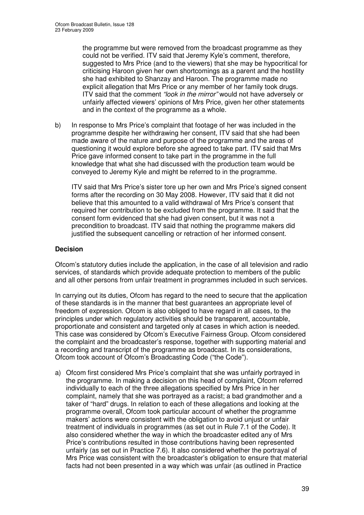the programme but were removed from the broadcast programme as they could not be verified. ITV said that Jeremy Kyle's comment, therefore, suggested to Mrs Price (and to the viewers) that she may be hypocritical for criticising Haroon given her own shortcomings as a parent and the hostility she had exhibited to Shanzay and Haroon. The programme made no explicit allegation that Mrs Price or any member of her family took drugs. ITV said that the comment *"look in the mirror"* would not have adversely or unfairly affected viewers' opinions of Mrs Price, given her other statements and in the context of the programme as a whole.

b) In response to Mrs Price's complaint that footage of her was included in the programme despite her withdrawing her consent, ITV said that she had been made aware of the nature and purpose of the programme and the areas of questioning it would explore before she agreed to take part. ITV said that Mrs Price gave informed consent to take part in the programme in the full knowledge that what she had discussed with the production team would be conveyed to Jeremy Kyle and might be referred to in the programme.

ITV said that Mrs Price's sister tore up her own and Mrs Price's signed consent forms after the recording on 30 May 2008. However, ITV said that it did not believe that this amounted to a valid withdrawal of Mrs Price's consent that required her contribution to be excluded from the programme. It said that the consent form evidenced that she had given consent, but it was not a precondition to broadcast. ITV said that nothing the programme makers did justified the subsequent cancelling or retraction of her informed consent.

#### **Decision**

Ofcom's statutory duties include the application, in the case of all television and radio services, of standards which provide adequate protection to members of the public and all other persons from unfair treatment in programmes included in such services.

In carrying out its duties, Ofcom has regard to the need to secure that the application of these standards is in the manner that best guarantees an appropriate level of freedom of expression. Ofcom is also obliged to have regard in all cases, to the principles under which regulatory activities should be transparent, accountable, proportionate and consistent and targeted only at cases in which action is needed. This case was considered by Ofcom's Executive Fairness Group. Ofcom considered the complaint and the broadcaster's response, together with supporting material and a recording and transcript of the programme as broadcast. In its considerations, Ofcom took account of Ofcom's Broadcasting Code ("the Code").

a) Ofcom first considered Mrs Price's complaint that she was unfairly portrayed in the programme. In making a decision on this head of complaint, Ofcom referred individually to each of the three allegations specified by Mrs Price in her complaint, namely that she was portrayed as a racist; a bad grandmother and a taker of "hard" drugs. In relation to each of these allegations and looking at the programme overall, Ofcom took particular account of whether the programme makers' actions were consistent with the obligation to avoid unjust or unfair treatment of individuals in programmes (as set out in Rule 7.1 of the Code). It also considered whether the way in which the broadcaster edited any of Mrs Price's contributions resulted in those contributions having been represented unfairly (as set out in Practice 7.6). It also considered whether the portrayal of Mrs Price was consistent with the broadcaster's obligation to ensure that material facts had not been presented in a way which was unfair (as outlined in Practice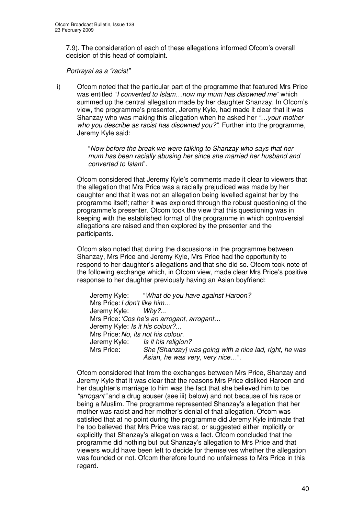7.9). The consideration of each of these allegations informed Ofcom's overall decision of this head of complaint.

*Portrayal as a "racist"*

i) Ofcom noted that the particular part of the programme that featured Mrs Price was entitled "*I converted to Islam…now my mum has disowned me*" which summed up the central allegation made by her daughter Shanzay. In Ofcom's view, the programme's presenter, Jeremy Kyle, had made it clear that it was Shanzay who was making this allegation when he asked her *"…your mother who you describe as racist has disowned you?"*. Further into the programme, Jeremy Kyle said:

> "*Now before the break we were talking to Shanzay who says that her mum has been racially abusing her since she married her husband and converted to Islam*".

Ofcom considered that Jeremy Kyle's comments made it clear to viewers that the allegation that Mrs Price was a racially prejudiced was made by her daughter and that it was not an allegation being levelled against her by the programme itself; rather it was explored through the robust questioning of the programme's presenter. Ofcom took the view that this questioning was in keeping with the established format of the programme in which controversial allegations are raised and then explored by the presenter and the participants.

Ofcom also noted that during the discussions in the programme between Shanzay, Mrs Price and Jeremy Kyle, Mrs Price had the opportunity to respond to her daughter's allegations and that she did so. Ofcom took note of the following exchange which, in Ofcom view, made clear Mrs Price's positive response to her daughter previously having an Asian boyfriend:

Jeremy Kyle: "*What do you have against Haroon?* Mrs Price:*I don't like him…* Jeremy Kyle: *Why?*... Mrs Price:*'Cos he's an arrogant, arrogant…* Jeremy Kyle: *Is it his colour?...* Mrs Price:*No, its not his colour.* Jeremy Kyle: *Is it his religion?* Mrs Price: *She [Shanzay] was going with a nice lad, right, he was Asian, he was very, very nice…*".

Ofcom considered that from the exchanges between Mrs Price, Shanzay and Jeremy Kyle that it was clear that the reasons Mrs Price disliked Haroon and her daughter's marriage to him was the fact that she believed him to be *"arrogant"* and a drug abuser (see iii) below) and not because of his race or being a Muslim. The programme represented Shanzay's allegation that her mother was racist and her mother's denial of that allegation. Ofcom was satisfied that at no point during the programme did Jeremy Kyle intimate that he too believed that Mrs Price was racist, or suggested either implicitly or explicitly that Shanzay's allegation was a fact. Ofcom concluded that the programme did nothing but put Shanzay's allegation to Mrs Price and that viewers would have been left to decide for themselves whether the allegation was founded or not. Ofcom therefore found no unfairness to Mrs Price in this regard.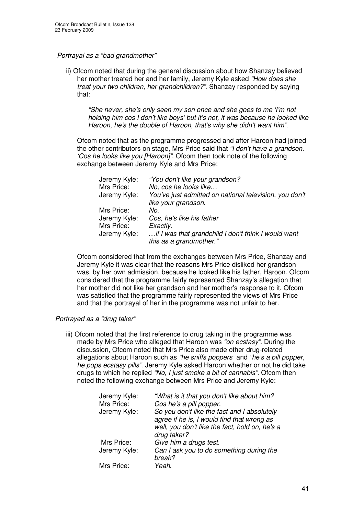#### *Portrayal as a "bad grandmother"*

ii) Ofcom noted that during the general discussion about how Shanzay believed her mother treated her and her family, Jeremy Kyle asked *"How does she treat your two children, her grandchildren?"*. Shanzay responded by saying that:

*"She never, she's only seen my son once and she goes to me 'I'm not holding him cos I don't like boys' but it's not, it was because he looked like Haroon, he's the double of Haroon, that's why she didn't want him".*

Ofcom noted that as the programme progressed and after Haroon had joined the other contributors on stage, Mrs Price said that *"I don't have a grandson. 'Cos he looks like you [Haroon]"*. Ofcom then took note of the following exchange between Jeremy Kyle and Mrs Price:

| Jeremy Kyle: | "You don't like your grandson?                         |
|--------------|--------------------------------------------------------|
| Mrs Price:   | No, cos he looks like                                  |
| Jeremy Kyle: | You've just admitted on national television, you don't |
|              | like your grandson.                                    |
| Mrs Price:   | No.                                                    |
| Jeremy Kyle: | Cos, he's like his father                              |
| Mrs Price:   | Exactly.                                               |
| Jeremy Kyle: | if I was that grandchild I don't think I would want    |
|              | this as a grandmother."                                |

Ofcom considered that from the exchanges between Mrs Price, Shanzay and Jeremy Kyle it was clear that the reasons Mrs Price disliked her grandson was, by her own admission, because he looked like his father, Haroon. Ofcom considered that the programme fairly represented Shanzay's allegation that her mother did not like her grandson and her mother's response to it. Ofcom was satisfied that the programme fairly represented the views of Mrs Price and that the portrayal of her in the programme was not unfair to her.

#### *Portrayed as a "drug taker"*

iii) Ofcom noted that the first reference to drug taking in the programme was made by Mrs Price who alleged that Haroon was *"on ecstasy"*. During the discussion, Ofcom noted that Mrs Price also made other drug-related allegations about Haroon such as *"he sniffs poppers"* and *"he's a pill popper, he pops ecstasy pills"*. Jeremy Kyle asked Haroon whether or not he did take drugs to which he replied *"No, I just smoke a bit of cannabis"*. Ofcom then noted the following exchange between Mrs Price and Jeremy Kyle:

| Jeremy Kyle: | "What is it that you don't like about him?     |
|--------------|------------------------------------------------|
| Mrs Price:   | Cos he's a pill popper.                        |
| Jeremy Kyle: | So you don't like the fact and I absolutely    |
|              | agree if he is, I would find that wrong as     |
|              | well, you don't like the fact, hold on, he's a |
|              | drug taker?                                    |
| Mrs Price:   | Give him a drugs test.                         |
| Jeremy Kyle: | Can I ask you to do something during the       |
|              | break?                                         |
| Mrs Price:   | Yeah.                                          |
|              |                                                |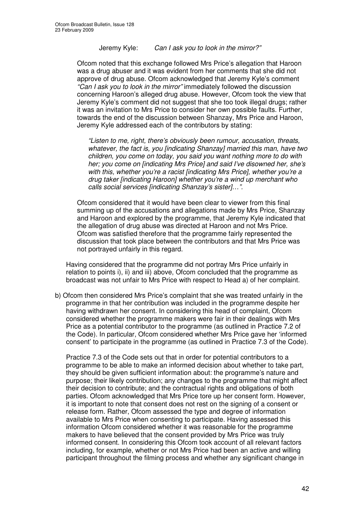Jeremy Kyle: *Can I ask you to look in the mirror?"*

Ofcom noted that this exchange followed Mrs Price's allegation that Haroon was a drug abuser and it was evident from her comments that she did not approve of drug abuse. Ofcom acknowledged that Jeremy Kyle's comment *"Can I ask you to look in the mirror"* immediately followed the discussion concerning Haroon's alleged drug abuse. However, Ofcom took the view that Jeremy Kyle's comment did not suggest that she too took illegal drugs; rather it was an invitation to Mrs Price to consider her own possible faults. Further, towards the end of the discussion between Shanzay, Mrs Price and Haroon, Jeremy Kyle addressed each of the contributors by stating:

*"Listen to me, right, there's obviously been rumour, accusation, threats, whatever, the fact is, you [indicating Shanzay] married this man, have two children, you come on today, you said you want nothing more to do with her; you come on [indicating Mrs Price] and said I've disowned her, she's with this, whether you're a racist [indicating Mrs Price], whether you're a drug taker [indicating Haroon] whether you're a wind up merchant who calls social services [indicating Shanzay's sister]…".*

Ofcom considered that it would have been clear to viewer from this final summing up of the accusations and allegations made by Mrs Price, Shanzay and Haroon and explored by the programme, that Jeremy Kyle indicated that the allegation of drug abuse was directed at Haroon and not Mrs Price. Ofcom was satisfied therefore that the programme fairly represented the discussion that took place between the contributors and that Mrs Price was not portrayed unfairly in this regard.

Having considered that the programme did not portray Mrs Price unfairly in relation to points i), ii) and iii) above, Ofcom concluded that the programme as broadcast was not unfair to Mrs Price with respect to Head a) of her complaint.

b) Ofcom then considered Mrs Price's complaint that she was treated unfairly in the programme in that her contribution was included in the programme despite her having withdrawn her consent. In considering this head of complaint, Ofcom considered whether the programme makers were fair in their dealings with Mrs Price as a potential contributor to the programme (as outlined in Practice 7.2 of the Code). In particular, Ofcom considered whether Mrs Price gave her 'informed consent' to participate in the programme (as outlined in Practice 7.3 of the Code).

Practice 7.3 of the Code sets out that in order for potential contributors to a programme to be able to make an informed decision about whether to take part, they should be given sufficient information about: the programme's nature and purpose; their likely contribution; any changes to the programme that might affect their decision to contribute; and the contractual rights and obligations of both parties. Ofcom acknowledged that Mrs Price tore up her consent form. However, it is important to note that consent does not rest on the signing of a consent or release form. Rather, Ofcom assessed the type and degree of information available to Mrs Price when consenting to participate. Having assessed this information Ofcom considered whether it was reasonable for the programme makers to have believed that the consent provided by Mrs Price was truly informed consent. In considering this Ofcom took account of all relevant factors including, for example, whether or not Mrs Price had been an active and willing participant throughout the filming process and whether any significant change in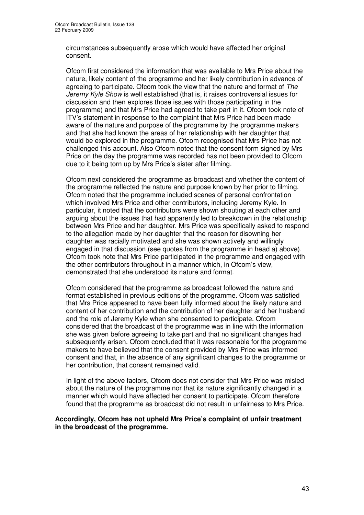circumstances subsequently arose which would have affected her original consent.

Ofcom first considered the information that was available to Mrs Price about the nature, likely content of the programme and her likely contribution in advance of agreeing to participate. Ofcom took the view that the nature and format of *The Jeremy Kyle Show* is well established (that is, it raises controversial issues for discussion and then explores those issues with those participating in the programme) and that Mrs Price had agreed to take part in it. Ofcom took note of ITV's statement in response to the complaint that Mrs Price had been made aware of the nature and purpose of the programme by the programme makers and that she had known the areas of her relationship with her daughter that would be explored in the programme. Ofcom recognised that Mrs Price has not challenged this account. Also Ofcom noted that the consent form signed by Mrs Price on the day the programme was recorded has not been provided to Ofcom due to it being torn up by Mrs Price's sister after filming.

Ofcom next considered the programme as broadcast and whether the content of the programme reflected the nature and purpose known by her prior to filming. Ofcom noted that the programme included scenes of personal confrontation which involved Mrs Price and other contributors, including Jeremy Kyle. In particular, it noted that the contributors were shown shouting at each other and arguing about the issues that had apparently led to breakdown in the relationship between Mrs Price and her daughter. Mrs Price was specifically asked to respond to the allegation made by her daughter that the reason for disowning her daughter was racially motivated and she was shown actively and willingly engaged in that discussion (see quotes from the programme in head a) above). Ofcom took note that Mrs Price participated in the programme and engaged with the other contributors throughout in a manner which, in Ofcom's view, demonstrated that she understood its nature and format.

Ofcom considered that the programme as broadcast followed the nature and format established in previous editions of the programme. Ofcom was satisfied that Mrs Price appeared to have been fully informed about the likely nature and content of her contribution and the contribution of her daughter and her husband and the role of Jeremy Kyle when she consented to participate. Ofcom considered that the broadcast of the programme was in line with the information she was given before agreeing to take part and that no significant changes had subsequently arisen. Ofcom concluded that it was reasonable for the programme makers to have believed that the consent provided by Mrs Price was informed consent and that, in the absence of any significant changes to the programme or her contribution, that consent remained valid.

In light of the above factors, Ofcom does not consider that Mrs Price was misled about the nature of the programme nor that its nature significantly changed in a manner which would have affected her consent to participate. Ofcom therefore found that the programme as broadcast did not result in unfairness to Mrs Price.

#### **Accordingly, Ofcom has not upheld Mrs Price's complaint of unfair treatment in the broadcast of the programme.**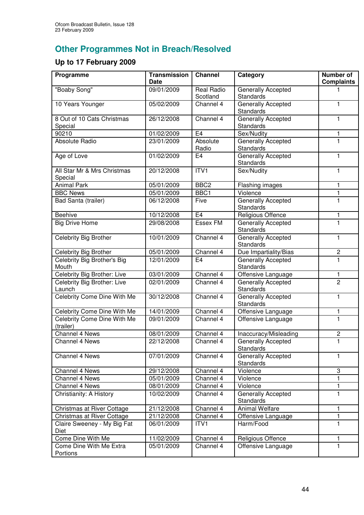# **Other Programmes Not in Breach/Resolved**

## **Up to 17 February 2009**

| Programme                                | <b>Transmission</b><br><b>Date</b> | <b>Channel</b>                | Category                                      | <b>Number of</b><br><b>Complaints</b> |
|------------------------------------------|------------------------------------|-------------------------------|-----------------------------------------------|---------------------------------------|
| "Boaby Song"                             | 09/01/2009                         | <b>Real Radio</b><br>Scotland | Generally Accepted<br><b>Standards</b>        |                                       |
| 10 Years Younger                         | 05/02/2009                         | Channel 4                     | <b>Generally Accepted</b><br><b>Standards</b> | 1                                     |
| 8 Out of 10 Cats Christmas<br>Special    | 26/12/2008                         | Channel 4                     | <b>Generally Accepted</b><br>Standards        | 1                                     |
| 90210                                    | 01/02/2009                         | E <sub>4</sub>                | Sex/Nudity                                    | 1                                     |
| <b>Absolute Radio</b>                    | 23/01/2009                         | Absolute<br>Radio             | <b>Generally Accepted</b><br>Standards        | 1.                                    |
| Age of Love                              | 01/02/2009                         | E <sub>4</sub>                | Generally Accepted<br><b>Standards</b>        | 1                                     |
| All Star Mr & Mrs Christmas<br>Special   | 20/12/2008                         | ITVI                          | Sex/Nudity                                    | 1                                     |
| <b>Animal Park</b>                       | 05/01/2009                         | BBC <sub>2</sub>              | Flashing images                               | 1                                     |
| <b>BBC News</b>                          | 05/01/2009                         | BBC1                          | Violence                                      | 1                                     |
| Bad Santa (trailer)                      | 06/12/2008                         | Five                          | Generally Accepted<br><b>Standards</b>        | 1                                     |
| Beehive                                  | 10/12/2008                         | E <sub>4</sub>                | Religious Offence                             | 1                                     |
| <b>Big Drive Home</b>                    | 29/08/2008                         | <b>Essex FM</b>               | <b>Generally Accepted</b><br><b>Standards</b> | 1                                     |
| Celebrity Big Brother                    | 10/01/2009                         | Channel 4                     | <b>Generally Accepted</b><br><b>Standards</b> | 1                                     |
| Celebrity Big Brother                    | 05/01/2009                         | Channel 4                     | Due Impartiality/Bias                         | $\mathbf 2$                           |
| Celebrity Big Brother's Big              | 12/01/2009                         | E <sub>4</sub>                | Generally Accepted                            | 1                                     |
| Mouth                                    |                                    |                               | Standards                                     |                                       |
| Celebrity Big Brother: Live              | 03/01/2009                         | Channel 4                     | Offensive Language                            | 1                                     |
| Celebrity Big Brother: Live<br>Launch    | 02/01/2009                         | Channel 4                     | Generally Accepted<br><b>Standards</b>        | 2                                     |
| <b>Celebrity Come Dine With Me</b>       | 30/12/2008                         | Channel 4                     | Generally Accepted<br><b>Standards</b>        | 1                                     |
| Celebrity Come Dine With Me              | 14/01/2009                         | Channel 4                     | Offensive Language                            | 1                                     |
| Celebrity Come Dine With Me<br>(trailer) | 09/01/2009                         | Channel 4                     | Offensive Language                            | 1                                     |
| Channel 4 News                           | 08/01/2009                         | Channel 4                     | Inaccuracy/Misleading                         | $\overline{c}$                        |
| Channel 4 News                           | 22/12/2008                         | Channel 4                     | <b>Generally Accepted</b><br>Standards        | 1                                     |
| Channel 4 News                           | 07/01/2009                         | Channel 4                     | Generally Accepted<br>Standards               | 1                                     |
| Channel 4 News                           | 29/12/2008                         | Channel 4                     | Violence                                      | 3                                     |
| Channel 4 News                           | 05/01/2009                         | Channel 4                     | Violence                                      |                                       |
| Channel 4 News                           | 08/01/2009                         | Channel 4                     | Violence                                      | 1                                     |
| Christianity: A History                  | 10/02/2009                         | Channel 4                     | Generally Accepted<br><b>Standards</b>        | 1                                     |
| Christmas at River Cottage               | 21/12/2008                         | Channel 4                     | <b>Animal Welfare</b>                         | 1                                     |
| Christmas at River Cottage               | 21/12/2008                         | Channel 4                     | Offensive Language                            | 1                                     |
| Claire Sweeney - My Big Fat<br>Diet      | 06/01/2009                         | ITV1                          | Harm/Food                                     | 1                                     |
| Come Dine With Me                        | 11/02/2009                         | Channel 4                     | Religious Offence                             | 1                                     |
| Come Dine With Me Extra<br>Portions      | 05/01/2009                         | Channel 4                     | Offensive Language                            | 1                                     |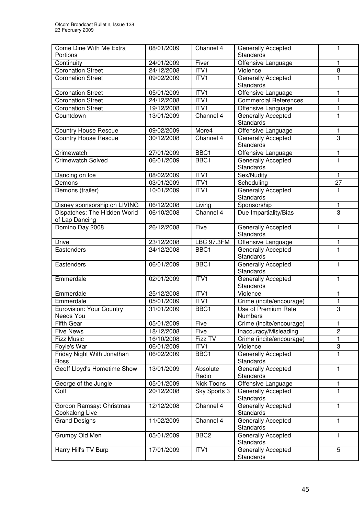| Come Dine With Me Extra               | 08/01/2009               | Channel 4         | <b>Generally Accepted</b>                       | 1                |
|---------------------------------------|--------------------------|-------------------|-------------------------------------------------|------------------|
| Portions                              |                          |                   | Standards                                       |                  |
| Continuity                            | 24/01/2009               | Fiver             | Offensive Language                              | 1                |
| <b>Coronation Street</b>              | 24/12/2008               | ITV1              | Violence                                        | 8                |
| <b>Coronation Street</b>              | 09/02/2009               | ITV1              | <b>Generally Accepted</b>                       | 1                |
|                                       |                          |                   | Standards                                       |                  |
| <b>Coronation Street</b>              | 05/01/2009               | ITV1              | Offensive Language                              | 1                |
| <b>Coronation Street</b>              | 24/12/2008               | ITV1              | <b>Commercial References</b>                    | 1                |
| <b>Coronation Street</b><br>Countdown | 19/12/2008<br>13/01/2009 | ITV1<br>Channel 4 | Offensive Language                              | 1<br>$\mathbf 1$ |
|                                       |                          |                   | Generally Accepted<br>Standards                 |                  |
| <b>Country House Rescue</b>           | 09/02/2009               | More4             | Offensive Language                              | 1                |
| <b>Country House Rescue</b>           | 30/12/2008               | Channel 4         | Generally Accepted                              | 3                |
|                                       |                          |                   | Standards                                       |                  |
| Crimewatch                            | 27/01/2009               | BBC <sub>1</sub>  | Offensive Language                              | 1                |
| <b>Crimewatch Solved</b>              | 06/01/2009               | BBC1              | <b>Generally Accepted</b>                       | 1                |
|                                       |                          |                   | Standards                                       |                  |
| Dancing on Ice                        | 08/02/2009               | ITV1              | Sex/Nudity                                      | 1                |
| Demons                                | 03/01/2009               | ITV <sub>1</sub>  | Scheduling                                      | $\overline{27}$  |
| Demons (trailer)                      | 10/01/2009               | ITV <sub>1</sub>  | Generally Accepted                              | 1                |
|                                       |                          |                   | Standards                                       |                  |
| Disney sponsorship on LIVING          | 06/12/2008               | Living            | Sponsorship                                     | 1                |
| Dispatches: The Hidden World          | 06/10/2008               | Channel 4         | Due Impartiality/Bias                           | 3                |
| of Lap Dancing                        |                          |                   |                                                 |                  |
| Domino Day 2008                       | 26/12/2008               | Five              | Generally Accepted<br>Standards                 | 1                |
| <b>Drive</b>                          | 23/12/2008               | <b>LBC 97.3FM</b> |                                                 | 1                |
| Eastenders                            | 24/12/2008               | BBC1              | Offensive Language<br><b>Generally Accepted</b> | $\mathbf{1}$     |
|                                       |                          |                   | Standards                                       |                  |
| Eastenders                            | 06/01/2009               | BBC1              | Generally Accepted                              | 1                |
|                                       |                          |                   | Standards                                       |                  |
| Emmerdale                             | 02/01/2009               | ITVI              | Generally Accepted                              | 1                |
|                                       |                          |                   | Standards                                       |                  |
| Emmerdale                             | 25/12/2008               | ITVI              | Violence                                        | 1                |
| Emmerdale                             | 05/01/2009               | ITV1              | Crime (incite/encourage)                        | 1                |
| Eurovision: Your Country              | 31/01/2009               | BBC1              | Use of Premium Rate                             | 3                |
| Needs You                             |                          |                   | Numbers                                         |                  |
| <b>Fifth Gear</b>                     | 05/01/2009               | Five              | Crime (incite/encourage)                        | 1                |
| <b>Five News</b>                      | 18/12/2008               | Five              | Inaccuracy/Misleading                           | $\overline{c}$   |
| <b>Fizz Music</b>                     | 16/10/2008               | Fizz TV           | Crime (incite/encourage)                        | 1                |
| Foyle's War                           | 06/01/2009               | ITV1              | Violence                                        | 3                |
| Friday Night With Jonathan            | 06/02/2009               | BBC1              | <b>Generally Accepted</b>                       | 1                |
| Ross<br>Geoff Lloyd's Hometime Show   | 13/01/2009               | Absolute          | Standards                                       | 1                |
|                                       |                          | Radio             | <b>Generally Accepted</b><br>Standards          |                  |
| George of the Jungle                  | 05/01/2009               | Nick Toons        | Offensive Language                              | 1                |
| Golf                                  | 20/12/2008               | Sky Sports 3      | <b>Generally Accepted</b>                       | 1                |
|                                       |                          |                   | <b>Standards</b>                                |                  |
| Gordon Ramsay: Christmas              | 12/12/2008               | Channel 4         | Generally Accepted                              | 1                |
| Cookalong Live                        |                          |                   | Standards                                       |                  |
| <b>Grand Designs</b>                  | 11/02/2009               | Channel 4         | Generally Accepted                              | 1                |
|                                       |                          |                   | Standards                                       |                  |
| Grumpy Old Men                        | 05/01/2009               | BBC <sub>2</sub>  | Generally Accepted                              | 1                |
|                                       |                          |                   | Standards                                       |                  |
| Harry Hill's TV Burp                  | 17/01/2009               | ITV1              | Generally Accepted                              | 5                |
|                                       |                          |                   | Standards                                       |                  |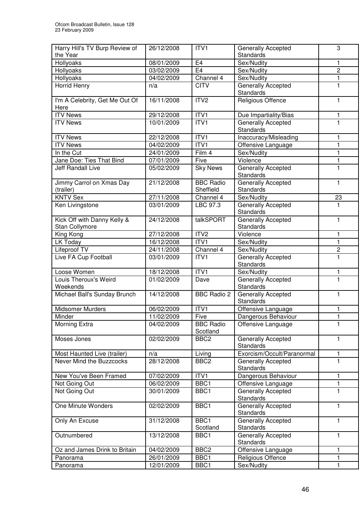| the Year<br><b>Standards</b><br>E4<br>Hollyoaks<br>08/01/2009<br>Sex/Nudity<br>1<br>E <sub>4</sub><br>Hollyoaks<br>$\overline{c}$<br>03/02/2009<br>Sex/Nudity<br>Hollyoaks<br>Channel 4<br>Sex/Nudity<br>1<br>04/02/2009<br><b>Horrid Henry</b><br><b>CITV</b><br><b>Generally Accepted</b><br>1<br>n/a<br>Standards<br>ITV <sub>2</sub><br>I'm A Celebrity, Get Me Out Of<br>16/11/2008<br>Religious Offence<br>1.<br>Here<br>ITV <sub>1</sub><br><b>ITV News</b><br>29/12/2008<br>Due Impartiality/Bias<br>1<br><b>ITV News</b><br>10/01/2009<br>ITV1<br>Generally Accepted<br>1<br>Standards<br>ITV <sub>1</sub><br><b>ITV News</b><br>22/12/2008<br>Inaccuracy/Misleading<br>1<br>ITVI<br><b>ITV News</b><br>04/02/2009<br>$\mathbf{1}$<br>Offensive Language<br>Film 4<br>Sex/Nudity<br>In the Cut<br>24/01/2009<br>1<br>Jane Doe: Ties That Bind<br>Violence<br>1<br>07/01/2009<br>Five<br><b>Sky News</b><br>Generally Accepted<br>1<br>Jeff Randall Live<br>05/02/2009<br>Standards<br>Jimmy Carrol on Xmas Day<br><b>BBC Radio</b><br>Generally Accepted<br>21/12/2008<br>1<br>Sheffield<br>Standards<br>(trailer)<br><b>KNTV Sex</b><br>27/11/2008<br>Sex/Nudity<br>Channel 4<br>23<br><b>Generally Accepted</b><br>Ken Livingstone<br>03/01/2009<br>LBC 97.3<br>1<br>Standards<br>Kick Off with Danny Kelly &<br>Generally Accepted<br>$\mathbf{1}$<br>24/12/2008<br>talkSPORT<br>Standards<br>Stan Collymore<br>ITV2<br>King Kong<br>27/12/2008<br>Violence<br>1<br>LK Today<br>16/12/2008<br>ITV1<br>1<br>Sex/Nudity<br>Lifeproof TV<br>Channel 4<br>Sex/Nudity<br>$\mathbf 2$<br>24/11/2008<br>$\mathbf{1}$<br>Live FA Cup Football<br>Generally Accepted<br>03/01/2009<br>ITV1<br>Standards<br>ITV1<br>Loose Women<br>18/12/2008<br>Sex/Nudity<br>1<br>Louis Theroux's Weird<br>Generally Accepted<br>1<br>01/02/2009<br>Dave<br>Weekends<br>Standards<br>Michael Ball's Sunday Brunch<br><b>BBC Radio 2</b><br>Generally Accepted<br>14/12/2008<br>1<br>Standards<br><b>Midsomer Murders</b><br>06/02/2009<br>ITV1<br>Offensive Language<br>1<br>11/02/2009<br>Five<br>Dangerous Behaviour<br>Minder<br>Morning Extra<br><b>BBC Radio</b><br>04/02/2009<br>Offensive Language<br>1<br>Scotland<br>Moses Jones<br>02/02/2009<br>Generally Accepted<br>BBC <sub>2</sub><br>1<br><b>Standards</b><br>Exorcism/Occult/Paranormal<br>n/a<br>Most Haunted Live (trailer)<br>Living<br>1<br>Never Mind the Buzzcocks<br>28/12/2008<br>BBC <sub>2</sub><br>Generally Accepted<br>1<br><b>Standards</b><br>Dangerous Behaviour<br>New You've Been Framed<br>07/02/2009<br>ITV1<br>1<br>BBC1<br>06/02/2009<br>Not Going Out<br>Offensive Language<br>1<br>Not Going Out<br>BBC1<br>Generally Accepted<br>30/01/2009<br>1<br><b>Standards</b><br>One Minute Wonders<br>02/02/2009<br>BBC1<br>Generally Accepted<br>1<br>Standards<br>31/12/2008<br>BBC1<br>Generally Accepted<br>Only An Excuse<br>1<br>Scotland<br>Standards<br>Outnumbered<br>13/12/2008<br>Generally Accepted<br>BBC1<br>1<br>Standards<br>Offensive Language<br>Oz and James Drink to Britain<br>04/02/2009<br>BBC <sub>2</sub><br>1<br>26/01/2009<br>BBC1<br>Religious Offence<br>1<br>Panorama<br>12/01/2009<br>Sex/Nudity<br>BBC1<br>1<br>Panorama | Harry Hill's TV Burp Review of | 26/12/2008 | ITV1 | Generally Accepted | 3 |
|--------------------------------------------------------------------------------------------------------------------------------------------------------------------------------------------------------------------------------------------------------------------------------------------------------------------------------------------------------------------------------------------------------------------------------------------------------------------------------------------------------------------------------------------------------------------------------------------------------------------------------------------------------------------------------------------------------------------------------------------------------------------------------------------------------------------------------------------------------------------------------------------------------------------------------------------------------------------------------------------------------------------------------------------------------------------------------------------------------------------------------------------------------------------------------------------------------------------------------------------------------------------------------------------------------------------------------------------------------------------------------------------------------------------------------------------------------------------------------------------------------------------------------------------------------------------------------------------------------------------------------------------------------------------------------------------------------------------------------------------------------------------------------------------------------------------------------------------------------------------------------------------------------------------------------------------------------------------------------------------------------------------------------------------------------------------------------------------------------------------------------------------------------------------------------------------------------------------------------------------------------------------------------------------------------------------------------------------------------------------------------------------------------------------------------------------------------------------------------------------------------------------------------------------------------------------------------------------------------------------------------------------------------------------------------------------------------------------------------------------------------------------------------------------------------------------------------------------------------------------------------------------------------------------------------------------------------------------------------------------------------------------------------------------------------------------------------------------------------------------------------------------------------------------------------------------------------------------------------|--------------------------------|------------|------|--------------------|---|
|                                                                                                                                                                                                                                                                                                                                                                                                                                                                                                                                                                                                                                                                                                                                                                                                                                                                                                                                                                                                                                                                                                                                                                                                                                                                                                                                                                                                                                                                                                                                                                                                                                                                                                                                                                                                                                                                                                                                                                                                                                                                                                                                                                                                                                                                                                                                                                                                                                                                                                                                                                                                                                                                                                                                                                                                                                                                                                                                                                                                                                                                                                                                                                                                                                |                                |            |      |                    |   |
|                                                                                                                                                                                                                                                                                                                                                                                                                                                                                                                                                                                                                                                                                                                                                                                                                                                                                                                                                                                                                                                                                                                                                                                                                                                                                                                                                                                                                                                                                                                                                                                                                                                                                                                                                                                                                                                                                                                                                                                                                                                                                                                                                                                                                                                                                                                                                                                                                                                                                                                                                                                                                                                                                                                                                                                                                                                                                                                                                                                                                                                                                                                                                                                                                                |                                |            |      |                    |   |
|                                                                                                                                                                                                                                                                                                                                                                                                                                                                                                                                                                                                                                                                                                                                                                                                                                                                                                                                                                                                                                                                                                                                                                                                                                                                                                                                                                                                                                                                                                                                                                                                                                                                                                                                                                                                                                                                                                                                                                                                                                                                                                                                                                                                                                                                                                                                                                                                                                                                                                                                                                                                                                                                                                                                                                                                                                                                                                                                                                                                                                                                                                                                                                                                                                |                                |            |      |                    |   |
|                                                                                                                                                                                                                                                                                                                                                                                                                                                                                                                                                                                                                                                                                                                                                                                                                                                                                                                                                                                                                                                                                                                                                                                                                                                                                                                                                                                                                                                                                                                                                                                                                                                                                                                                                                                                                                                                                                                                                                                                                                                                                                                                                                                                                                                                                                                                                                                                                                                                                                                                                                                                                                                                                                                                                                                                                                                                                                                                                                                                                                                                                                                                                                                                                                |                                |            |      |                    |   |
|                                                                                                                                                                                                                                                                                                                                                                                                                                                                                                                                                                                                                                                                                                                                                                                                                                                                                                                                                                                                                                                                                                                                                                                                                                                                                                                                                                                                                                                                                                                                                                                                                                                                                                                                                                                                                                                                                                                                                                                                                                                                                                                                                                                                                                                                                                                                                                                                                                                                                                                                                                                                                                                                                                                                                                                                                                                                                                                                                                                                                                                                                                                                                                                                                                |                                |            |      |                    |   |
|                                                                                                                                                                                                                                                                                                                                                                                                                                                                                                                                                                                                                                                                                                                                                                                                                                                                                                                                                                                                                                                                                                                                                                                                                                                                                                                                                                                                                                                                                                                                                                                                                                                                                                                                                                                                                                                                                                                                                                                                                                                                                                                                                                                                                                                                                                                                                                                                                                                                                                                                                                                                                                                                                                                                                                                                                                                                                                                                                                                                                                                                                                                                                                                                                                |                                |            |      |                    |   |
|                                                                                                                                                                                                                                                                                                                                                                                                                                                                                                                                                                                                                                                                                                                                                                                                                                                                                                                                                                                                                                                                                                                                                                                                                                                                                                                                                                                                                                                                                                                                                                                                                                                                                                                                                                                                                                                                                                                                                                                                                                                                                                                                                                                                                                                                                                                                                                                                                                                                                                                                                                                                                                                                                                                                                                                                                                                                                                                                                                                                                                                                                                                                                                                                                                |                                |            |      |                    |   |
|                                                                                                                                                                                                                                                                                                                                                                                                                                                                                                                                                                                                                                                                                                                                                                                                                                                                                                                                                                                                                                                                                                                                                                                                                                                                                                                                                                                                                                                                                                                                                                                                                                                                                                                                                                                                                                                                                                                                                                                                                                                                                                                                                                                                                                                                                                                                                                                                                                                                                                                                                                                                                                                                                                                                                                                                                                                                                                                                                                                                                                                                                                                                                                                                                                |                                |            |      |                    |   |
|                                                                                                                                                                                                                                                                                                                                                                                                                                                                                                                                                                                                                                                                                                                                                                                                                                                                                                                                                                                                                                                                                                                                                                                                                                                                                                                                                                                                                                                                                                                                                                                                                                                                                                                                                                                                                                                                                                                                                                                                                                                                                                                                                                                                                                                                                                                                                                                                                                                                                                                                                                                                                                                                                                                                                                                                                                                                                                                                                                                                                                                                                                                                                                                                                                |                                |            |      |                    |   |
|                                                                                                                                                                                                                                                                                                                                                                                                                                                                                                                                                                                                                                                                                                                                                                                                                                                                                                                                                                                                                                                                                                                                                                                                                                                                                                                                                                                                                                                                                                                                                                                                                                                                                                                                                                                                                                                                                                                                                                                                                                                                                                                                                                                                                                                                                                                                                                                                                                                                                                                                                                                                                                                                                                                                                                                                                                                                                                                                                                                                                                                                                                                                                                                                                                |                                |            |      |                    |   |
|                                                                                                                                                                                                                                                                                                                                                                                                                                                                                                                                                                                                                                                                                                                                                                                                                                                                                                                                                                                                                                                                                                                                                                                                                                                                                                                                                                                                                                                                                                                                                                                                                                                                                                                                                                                                                                                                                                                                                                                                                                                                                                                                                                                                                                                                                                                                                                                                                                                                                                                                                                                                                                                                                                                                                                                                                                                                                                                                                                                                                                                                                                                                                                                                                                |                                |            |      |                    |   |
|                                                                                                                                                                                                                                                                                                                                                                                                                                                                                                                                                                                                                                                                                                                                                                                                                                                                                                                                                                                                                                                                                                                                                                                                                                                                                                                                                                                                                                                                                                                                                                                                                                                                                                                                                                                                                                                                                                                                                                                                                                                                                                                                                                                                                                                                                                                                                                                                                                                                                                                                                                                                                                                                                                                                                                                                                                                                                                                                                                                                                                                                                                                                                                                                                                |                                |            |      |                    |   |
|                                                                                                                                                                                                                                                                                                                                                                                                                                                                                                                                                                                                                                                                                                                                                                                                                                                                                                                                                                                                                                                                                                                                                                                                                                                                                                                                                                                                                                                                                                                                                                                                                                                                                                                                                                                                                                                                                                                                                                                                                                                                                                                                                                                                                                                                                                                                                                                                                                                                                                                                                                                                                                                                                                                                                                                                                                                                                                                                                                                                                                                                                                                                                                                                                                |                                |            |      |                    |   |
|                                                                                                                                                                                                                                                                                                                                                                                                                                                                                                                                                                                                                                                                                                                                                                                                                                                                                                                                                                                                                                                                                                                                                                                                                                                                                                                                                                                                                                                                                                                                                                                                                                                                                                                                                                                                                                                                                                                                                                                                                                                                                                                                                                                                                                                                                                                                                                                                                                                                                                                                                                                                                                                                                                                                                                                                                                                                                                                                                                                                                                                                                                                                                                                                                                |                                |            |      |                    |   |
|                                                                                                                                                                                                                                                                                                                                                                                                                                                                                                                                                                                                                                                                                                                                                                                                                                                                                                                                                                                                                                                                                                                                                                                                                                                                                                                                                                                                                                                                                                                                                                                                                                                                                                                                                                                                                                                                                                                                                                                                                                                                                                                                                                                                                                                                                                                                                                                                                                                                                                                                                                                                                                                                                                                                                                                                                                                                                                                                                                                                                                                                                                                                                                                                                                |                                |            |      |                    |   |
|                                                                                                                                                                                                                                                                                                                                                                                                                                                                                                                                                                                                                                                                                                                                                                                                                                                                                                                                                                                                                                                                                                                                                                                                                                                                                                                                                                                                                                                                                                                                                                                                                                                                                                                                                                                                                                                                                                                                                                                                                                                                                                                                                                                                                                                                                                                                                                                                                                                                                                                                                                                                                                                                                                                                                                                                                                                                                                                                                                                                                                                                                                                                                                                                                                |                                |            |      |                    |   |
|                                                                                                                                                                                                                                                                                                                                                                                                                                                                                                                                                                                                                                                                                                                                                                                                                                                                                                                                                                                                                                                                                                                                                                                                                                                                                                                                                                                                                                                                                                                                                                                                                                                                                                                                                                                                                                                                                                                                                                                                                                                                                                                                                                                                                                                                                                                                                                                                                                                                                                                                                                                                                                                                                                                                                                                                                                                                                                                                                                                                                                                                                                                                                                                                                                |                                |            |      |                    |   |
|                                                                                                                                                                                                                                                                                                                                                                                                                                                                                                                                                                                                                                                                                                                                                                                                                                                                                                                                                                                                                                                                                                                                                                                                                                                                                                                                                                                                                                                                                                                                                                                                                                                                                                                                                                                                                                                                                                                                                                                                                                                                                                                                                                                                                                                                                                                                                                                                                                                                                                                                                                                                                                                                                                                                                                                                                                                                                                                                                                                                                                                                                                                                                                                                                                |                                |            |      |                    |   |
|                                                                                                                                                                                                                                                                                                                                                                                                                                                                                                                                                                                                                                                                                                                                                                                                                                                                                                                                                                                                                                                                                                                                                                                                                                                                                                                                                                                                                                                                                                                                                                                                                                                                                                                                                                                                                                                                                                                                                                                                                                                                                                                                                                                                                                                                                                                                                                                                                                                                                                                                                                                                                                                                                                                                                                                                                                                                                                                                                                                                                                                                                                                                                                                                                                |                                |            |      |                    |   |
|                                                                                                                                                                                                                                                                                                                                                                                                                                                                                                                                                                                                                                                                                                                                                                                                                                                                                                                                                                                                                                                                                                                                                                                                                                                                                                                                                                                                                                                                                                                                                                                                                                                                                                                                                                                                                                                                                                                                                                                                                                                                                                                                                                                                                                                                                                                                                                                                                                                                                                                                                                                                                                                                                                                                                                                                                                                                                                                                                                                                                                                                                                                                                                                                                                |                                |            |      |                    |   |
|                                                                                                                                                                                                                                                                                                                                                                                                                                                                                                                                                                                                                                                                                                                                                                                                                                                                                                                                                                                                                                                                                                                                                                                                                                                                                                                                                                                                                                                                                                                                                                                                                                                                                                                                                                                                                                                                                                                                                                                                                                                                                                                                                                                                                                                                                                                                                                                                                                                                                                                                                                                                                                                                                                                                                                                                                                                                                                                                                                                                                                                                                                                                                                                                                                |                                |            |      |                    |   |
|                                                                                                                                                                                                                                                                                                                                                                                                                                                                                                                                                                                                                                                                                                                                                                                                                                                                                                                                                                                                                                                                                                                                                                                                                                                                                                                                                                                                                                                                                                                                                                                                                                                                                                                                                                                                                                                                                                                                                                                                                                                                                                                                                                                                                                                                                                                                                                                                                                                                                                                                                                                                                                                                                                                                                                                                                                                                                                                                                                                                                                                                                                                                                                                                                                |                                |            |      |                    |   |
|                                                                                                                                                                                                                                                                                                                                                                                                                                                                                                                                                                                                                                                                                                                                                                                                                                                                                                                                                                                                                                                                                                                                                                                                                                                                                                                                                                                                                                                                                                                                                                                                                                                                                                                                                                                                                                                                                                                                                                                                                                                                                                                                                                                                                                                                                                                                                                                                                                                                                                                                                                                                                                                                                                                                                                                                                                                                                                                                                                                                                                                                                                                                                                                                                                |                                |            |      |                    |   |
|                                                                                                                                                                                                                                                                                                                                                                                                                                                                                                                                                                                                                                                                                                                                                                                                                                                                                                                                                                                                                                                                                                                                                                                                                                                                                                                                                                                                                                                                                                                                                                                                                                                                                                                                                                                                                                                                                                                                                                                                                                                                                                                                                                                                                                                                                                                                                                                                                                                                                                                                                                                                                                                                                                                                                                                                                                                                                                                                                                                                                                                                                                                                                                                                                                |                                |            |      |                    |   |
|                                                                                                                                                                                                                                                                                                                                                                                                                                                                                                                                                                                                                                                                                                                                                                                                                                                                                                                                                                                                                                                                                                                                                                                                                                                                                                                                                                                                                                                                                                                                                                                                                                                                                                                                                                                                                                                                                                                                                                                                                                                                                                                                                                                                                                                                                                                                                                                                                                                                                                                                                                                                                                                                                                                                                                                                                                                                                                                                                                                                                                                                                                                                                                                                                                |                                |            |      |                    |   |
|                                                                                                                                                                                                                                                                                                                                                                                                                                                                                                                                                                                                                                                                                                                                                                                                                                                                                                                                                                                                                                                                                                                                                                                                                                                                                                                                                                                                                                                                                                                                                                                                                                                                                                                                                                                                                                                                                                                                                                                                                                                                                                                                                                                                                                                                                                                                                                                                                                                                                                                                                                                                                                                                                                                                                                                                                                                                                                                                                                                                                                                                                                                                                                                                                                |                                |            |      |                    |   |
|                                                                                                                                                                                                                                                                                                                                                                                                                                                                                                                                                                                                                                                                                                                                                                                                                                                                                                                                                                                                                                                                                                                                                                                                                                                                                                                                                                                                                                                                                                                                                                                                                                                                                                                                                                                                                                                                                                                                                                                                                                                                                                                                                                                                                                                                                                                                                                                                                                                                                                                                                                                                                                                                                                                                                                                                                                                                                                                                                                                                                                                                                                                                                                                                                                |                                |            |      |                    |   |
|                                                                                                                                                                                                                                                                                                                                                                                                                                                                                                                                                                                                                                                                                                                                                                                                                                                                                                                                                                                                                                                                                                                                                                                                                                                                                                                                                                                                                                                                                                                                                                                                                                                                                                                                                                                                                                                                                                                                                                                                                                                                                                                                                                                                                                                                                                                                                                                                                                                                                                                                                                                                                                                                                                                                                                                                                                                                                                                                                                                                                                                                                                                                                                                                                                |                                |            |      |                    |   |
|                                                                                                                                                                                                                                                                                                                                                                                                                                                                                                                                                                                                                                                                                                                                                                                                                                                                                                                                                                                                                                                                                                                                                                                                                                                                                                                                                                                                                                                                                                                                                                                                                                                                                                                                                                                                                                                                                                                                                                                                                                                                                                                                                                                                                                                                                                                                                                                                                                                                                                                                                                                                                                                                                                                                                                                                                                                                                                                                                                                                                                                                                                                                                                                                                                |                                |            |      |                    |   |
|                                                                                                                                                                                                                                                                                                                                                                                                                                                                                                                                                                                                                                                                                                                                                                                                                                                                                                                                                                                                                                                                                                                                                                                                                                                                                                                                                                                                                                                                                                                                                                                                                                                                                                                                                                                                                                                                                                                                                                                                                                                                                                                                                                                                                                                                                                                                                                                                                                                                                                                                                                                                                                                                                                                                                                                                                                                                                                                                                                                                                                                                                                                                                                                                                                |                                |            |      |                    |   |
|                                                                                                                                                                                                                                                                                                                                                                                                                                                                                                                                                                                                                                                                                                                                                                                                                                                                                                                                                                                                                                                                                                                                                                                                                                                                                                                                                                                                                                                                                                                                                                                                                                                                                                                                                                                                                                                                                                                                                                                                                                                                                                                                                                                                                                                                                                                                                                                                                                                                                                                                                                                                                                                                                                                                                                                                                                                                                                                                                                                                                                                                                                                                                                                                                                |                                |            |      |                    |   |
|                                                                                                                                                                                                                                                                                                                                                                                                                                                                                                                                                                                                                                                                                                                                                                                                                                                                                                                                                                                                                                                                                                                                                                                                                                                                                                                                                                                                                                                                                                                                                                                                                                                                                                                                                                                                                                                                                                                                                                                                                                                                                                                                                                                                                                                                                                                                                                                                                                                                                                                                                                                                                                                                                                                                                                                                                                                                                                                                                                                                                                                                                                                                                                                                                                |                                |            |      |                    |   |
|                                                                                                                                                                                                                                                                                                                                                                                                                                                                                                                                                                                                                                                                                                                                                                                                                                                                                                                                                                                                                                                                                                                                                                                                                                                                                                                                                                                                                                                                                                                                                                                                                                                                                                                                                                                                                                                                                                                                                                                                                                                                                                                                                                                                                                                                                                                                                                                                                                                                                                                                                                                                                                                                                                                                                                                                                                                                                                                                                                                                                                                                                                                                                                                                                                |                                |            |      |                    |   |
|                                                                                                                                                                                                                                                                                                                                                                                                                                                                                                                                                                                                                                                                                                                                                                                                                                                                                                                                                                                                                                                                                                                                                                                                                                                                                                                                                                                                                                                                                                                                                                                                                                                                                                                                                                                                                                                                                                                                                                                                                                                                                                                                                                                                                                                                                                                                                                                                                                                                                                                                                                                                                                                                                                                                                                                                                                                                                                                                                                                                                                                                                                                                                                                                                                |                                |            |      |                    |   |
|                                                                                                                                                                                                                                                                                                                                                                                                                                                                                                                                                                                                                                                                                                                                                                                                                                                                                                                                                                                                                                                                                                                                                                                                                                                                                                                                                                                                                                                                                                                                                                                                                                                                                                                                                                                                                                                                                                                                                                                                                                                                                                                                                                                                                                                                                                                                                                                                                                                                                                                                                                                                                                                                                                                                                                                                                                                                                                                                                                                                                                                                                                                                                                                                                                |                                |            |      |                    |   |
|                                                                                                                                                                                                                                                                                                                                                                                                                                                                                                                                                                                                                                                                                                                                                                                                                                                                                                                                                                                                                                                                                                                                                                                                                                                                                                                                                                                                                                                                                                                                                                                                                                                                                                                                                                                                                                                                                                                                                                                                                                                                                                                                                                                                                                                                                                                                                                                                                                                                                                                                                                                                                                                                                                                                                                                                                                                                                                                                                                                                                                                                                                                                                                                                                                |                                |            |      |                    |   |
|                                                                                                                                                                                                                                                                                                                                                                                                                                                                                                                                                                                                                                                                                                                                                                                                                                                                                                                                                                                                                                                                                                                                                                                                                                                                                                                                                                                                                                                                                                                                                                                                                                                                                                                                                                                                                                                                                                                                                                                                                                                                                                                                                                                                                                                                                                                                                                                                                                                                                                                                                                                                                                                                                                                                                                                                                                                                                                                                                                                                                                                                                                                                                                                                                                |                                |            |      |                    |   |
|                                                                                                                                                                                                                                                                                                                                                                                                                                                                                                                                                                                                                                                                                                                                                                                                                                                                                                                                                                                                                                                                                                                                                                                                                                                                                                                                                                                                                                                                                                                                                                                                                                                                                                                                                                                                                                                                                                                                                                                                                                                                                                                                                                                                                                                                                                                                                                                                                                                                                                                                                                                                                                                                                                                                                                                                                                                                                                                                                                                                                                                                                                                                                                                                                                |                                |            |      |                    |   |
|                                                                                                                                                                                                                                                                                                                                                                                                                                                                                                                                                                                                                                                                                                                                                                                                                                                                                                                                                                                                                                                                                                                                                                                                                                                                                                                                                                                                                                                                                                                                                                                                                                                                                                                                                                                                                                                                                                                                                                                                                                                                                                                                                                                                                                                                                                                                                                                                                                                                                                                                                                                                                                                                                                                                                                                                                                                                                                                                                                                                                                                                                                                                                                                                                                |                                |            |      |                    |   |
|                                                                                                                                                                                                                                                                                                                                                                                                                                                                                                                                                                                                                                                                                                                                                                                                                                                                                                                                                                                                                                                                                                                                                                                                                                                                                                                                                                                                                                                                                                                                                                                                                                                                                                                                                                                                                                                                                                                                                                                                                                                                                                                                                                                                                                                                                                                                                                                                                                                                                                                                                                                                                                                                                                                                                                                                                                                                                                                                                                                                                                                                                                                                                                                                                                |                                |            |      |                    |   |
|                                                                                                                                                                                                                                                                                                                                                                                                                                                                                                                                                                                                                                                                                                                                                                                                                                                                                                                                                                                                                                                                                                                                                                                                                                                                                                                                                                                                                                                                                                                                                                                                                                                                                                                                                                                                                                                                                                                                                                                                                                                                                                                                                                                                                                                                                                                                                                                                                                                                                                                                                                                                                                                                                                                                                                                                                                                                                                                                                                                                                                                                                                                                                                                                                                |                                |            |      |                    |   |
|                                                                                                                                                                                                                                                                                                                                                                                                                                                                                                                                                                                                                                                                                                                                                                                                                                                                                                                                                                                                                                                                                                                                                                                                                                                                                                                                                                                                                                                                                                                                                                                                                                                                                                                                                                                                                                                                                                                                                                                                                                                                                                                                                                                                                                                                                                                                                                                                                                                                                                                                                                                                                                                                                                                                                                                                                                                                                                                                                                                                                                                                                                                                                                                                                                |                                |            |      |                    |   |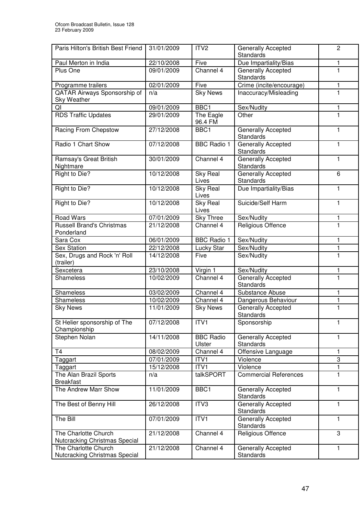| Paris Hilton's British Best Friend                    | 31/01/2009 | ITV <sub>2</sub>           | <b>Generally Accepted</b><br><b>Standards</b> | $\overline{c}$ |
|-------------------------------------------------------|------------|----------------------------|-----------------------------------------------|----------------|
| Paul Merton in India                                  | 22/10/2008 | Five                       | Due Impartiality/Bias                         | 1              |
| Plus One                                              | 09/01/2009 | Channel 4                  | Generally Accepted<br><b>Standards</b>        | 1              |
| Programme trailers                                    | 02/01/2009 | Five                       | Crime (incite/encourage)                      | 1              |
| QATAR Airways Sponsorship of<br><b>Sky Weather</b>    | n/a        | <b>Sky News</b>            | Inaccuracy/Misleading                         | $\mathbf{1}$   |
| QI                                                    | 09/01/2009 | BBC1                       | Sex/Nudity                                    | 1              |
| <b>RDS Traffic Updates</b>                            | 29/01/2009 | The Eagle<br>96.4 FM       | Other                                         | 1              |
| Racing From Chepstow                                  | 27/12/2008 | BBC <sub>1</sub>           | Generally Accepted<br><b>Standards</b>        | 1              |
| Radio 1 Chart Show                                    | 07/12/2008 | <b>BBC Radio 1</b>         | <b>Generally Accepted</b><br><b>Standards</b> | $\mathbf{1}$   |
| Ramsay's Great British<br>Nightmare                   | 30/01/2009 | Channel 4                  | <b>Generally Accepted</b><br><b>Standards</b> | $\mathbf{1}$   |
| Right to Die?                                         | 10/12/2008 | <b>Sky Real</b><br>Lives   | Generally Accepted<br><b>Standards</b>        | 6              |
| Right to Die?                                         | 10/12/2008 | <b>Sky Real</b><br>Lives   | Due Impartiality/Bias                         | $\mathbf{1}$   |
| Right to Die?                                         | 10/12/2008 | <b>Sky Real</b><br>Lives   | Suicide/Self Harm                             | $\mathbf{1}$   |
| <b>Road Wars</b>                                      | 07/01/2009 | <b>Sky Three</b>           | Sex/Nudity                                    | 1              |
| <b>Russell Brand's Christmas</b><br>Ponderland        | 21/12/2008 | Channel 4                  | Religious Offence                             | $\mathbf{1}$   |
| Sara Cox                                              | 06/01/2009 | <b>BBC</b> Radio 1         | Sex/Nudity                                    | 1              |
| <b>Sex Station</b>                                    | 22/12/2008 | <b>Lucky Star</b>          | Sex/Nudity                                    | $\mathbf{1}$   |
| Sex, Drugs and Rock 'n' Roll<br>(trailer)             | 14/12/2008 | Five                       | Sex/Nudity                                    | $\mathbf{1}$   |
| Sexcetera                                             | 23/10/2008 | Virgin 1                   | Sex/Nudity                                    | 1              |
| Shameless                                             | 10/02/2009 | Channel 4                  | Generally Accepted<br>Standards               | $\mathbf{1}$   |
| Shameless                                             | 03/02/2009 | Channel 4                  | Substance Abuse                               | 1              |
| Shameless                                             | 10/02/2009 | Channel 4                  | Dangerous Behaviour                           | $\mathbf{1}$   |
| <b>Sky News</b>                                       | 11/01/2009 | <b>Sky News</b>            | <b>Generally Accepted</b><br>Standards        | $\mathbf{1}$   |
| St Helier sponsorship of The<br>Championship          | 07/12/2008 | ITV1                       | Sponsorship                                   | 1              |
| Stephen Nolan                                         | 14/11/2008 | <b>BBC Radio</b><br>Ulster | Generally Accepted<br>Standards               | $\mathbf{1}$   |
| <b>T4</b>                                             | 08/02/2009 | Channel 4                  | Offensive Language                            | 1              |
| Taggart                                               | 07/01/2009 | ITV1                       | Violence                                      | 3              |
| Taggart                                               | 15/12/2008 | ITV1                       | Violence                                      | 1              |
| The Alan Brazil Sports<br><b>Breakfast</b>            | n/a        | talkSPORT                  | <b>Commercial References</b>                  | $\mathbf{1}$   |
| The Andrew Marr Show                                  | 11/01/2009 | BBC1                       | Generally Accepted<br>Standards               | $\mathbf{1}$   |
| The Best of Benny Hill                                | 26/12/2008 | ITV3                       | Generally Accepted<br><b>Standards</b>        | $\mathbf{1}$   |
| The Bill                                              | 07/01/2009 | ITV1                       | Generally Accepted<br><b>Standards</b>        | $\mathbf{1}$   |
| The Charlotte Church<br>Nutcracking Christmas Special | 21/12/2008 | Channel 4                  | Religious Offence                             | 3              |
| The Charlotte Church<br>Nutcracking Christmas Special | 21/12/2008 | Channel 4                  | Generally Accepted<br>Standards               | $\mathbf{1}$   |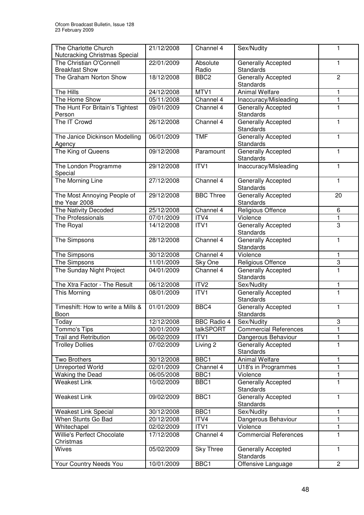| The Charlotte Church<br>Nutcracking Christmas Special | 21/12/2008 | Channel 4          | Sex/Nudity                                    | 1              |
|-------------------------------------------------------|------------|--------------------|-----------------------------------------------|----------------|
| The Christian O'Connell<br><b>Breakfast Show</b>      | 22/01/2009 | Absolute<br>Radio  | Generally Accepted<br>Standards               | 1              |
| The Graham Norton Show                                | 18/12/2008 | BBC <sub>2</sub>   | <b>Generally Accepted</b><br><b>Standards</b> | $\overline{2}$ |
| The Hills                                             | 24/12/2008 | MTV1               | <b>Animal Welfare</b>                         | 1              |
| The Home Show                                         | 05/11/2008 | Channel 4          | Inaccuracy/Misleading                         | 1              |
| The Hunt For Britain's Tightest<br>Person             | 09/01/2009 | Channel 4          | Generally Accepted<br>Standards               | 1              |
| The IT Crowd                                          | 26/12/2008 | Channel 4          | <b>Generally Accepted</b><br>Standards        | 1              |
| The Janice Dickinson Modelling<br>Agency              | 06/01/2009 | <b>TMF</b>         | <b>Generally Accepted</b><br>Standards        | $\mathbf{1}$   |
| The King of Queens                                    | 09/12/2008 | Paramount          | Generally Accepted<br>Standards               | $\mathbf{1}$   |
| The London Programme<br>Special                       | 29/12/2008 | ITV1               | Inaccuracy/Misleading                         | $\mathbf{1}$   |
| The Morning Line                                      | 27/12/2008 | Channel 4          | Generally Accepted<br>Standards               | $\mathbf{1}$   |
| The Most Annoying People of<br>the Year 2008          | 29/12/2008 | <b>BBC Three</b>   | Generally Accepted<br>Standards               | 20             |
| The Nativity Decoded                                  | 25/12/2008 | Channel 4          | <b>Religious Offence</b>                      | 6              |
| The Professionals                                     | 07/01/2009 | ITV4               | Violence                                      | 1              |
| The Royal                                             | 14/12/2008 | ITV1               | Generally Accepted<br>Standards               | 3              |
| The Simpsons                                          | 28/12/2008 | Channel 4          | Generally Accepted<br>Standards               | 1              |
| The Simpsons                                          | 30/12/2008 | Channel 4          | Violence                                      | 1              |
| The Simpsons                                          | 11/01/2009 | Sky One            | <b>Religious Offence</b>                      | 3              |
| The Sunday Night Project                              | 04/01/2009 | Channel 4          | <b>Generally Accepted</b><br>Standards        | 1              |
| The Xtra Factor - The Result                          | 06/12/2008 | ITV <sub>2</sub>   | Sex/Nudity                                    | 1              |
| This Morning                                          | 08/01/2009 | ITV1               | Generally Accepted<br>Standards               | 1              |
| Timeshift: How to write a Mills &<br>Boon             | 01/01/2009 | BBC4               | Generally Accepted<br>Standards               | 1              |
| Today                                                 | 12/12/2008 | <b>BBC Radio 4</b> | Sex/Nudity                                    | 3              |
| Tommo's Tips                                          | 30/01/2009 | talkSPORT          | <b>Commercial References</b>                  |                |
| <b>Trail and Retribution</b>                          | 06/02/2009 | ITV1               | Dangerous Behaviour                           | 1              |
| <b>Trolley Dollies</b>                                | 07/02/2009 | Living 2           | Generally Accepted<br>Standards               | 1              |
| Two Brothers                                          | 30/12/2008 | BBC1               | <b>Animal Welfare</b>                         | 1              |
| <b>Unreported World</b>                               | 02/01/2009 | Channel 4          | U18's in Programmes                           | 1              |
| <b>Waking the Dead</b>                                | 06/05/2008 | BBC1               | Violence                                      | 1              |
| <b>Weakest Link</b>                                   | 10/02/2009 | BBC1               | <b>Generally Accepted</b><br>Standards        | 1              |
| <b>Weakest Link</b>                                   | 09/02/2009 | BBC1               | <b>Generally Accepted</b><br>Standards        | 1              |
| <b>Weakest Link Special</b>                           | 30/12/2008 | BBC1               | Sex/Nudity                                    | 1              |
| When Stunts Go Bad                                    | 20/12/2008 | ITV4               | Dangerous Behaviour                           | 1              |
| Whitechapel                                           | 02/02/2009 | ITV1               | Violence                                      | 1              |
| Willie's Perfect Chocolate<br>Christmas               | 17/12/2008 | Channel 4          | <b>Commercial References</b>                  | 1              |
| Wives                                                 | 05/02/2009 | <b>Sky Three</b>   | Generally Accepted<br>Standards               | $\mathbf{1}$   |
| Your Country Needs You                                | 10/01/2009 | BBC1               | Offensive Language                            | $\overline{2}$ |